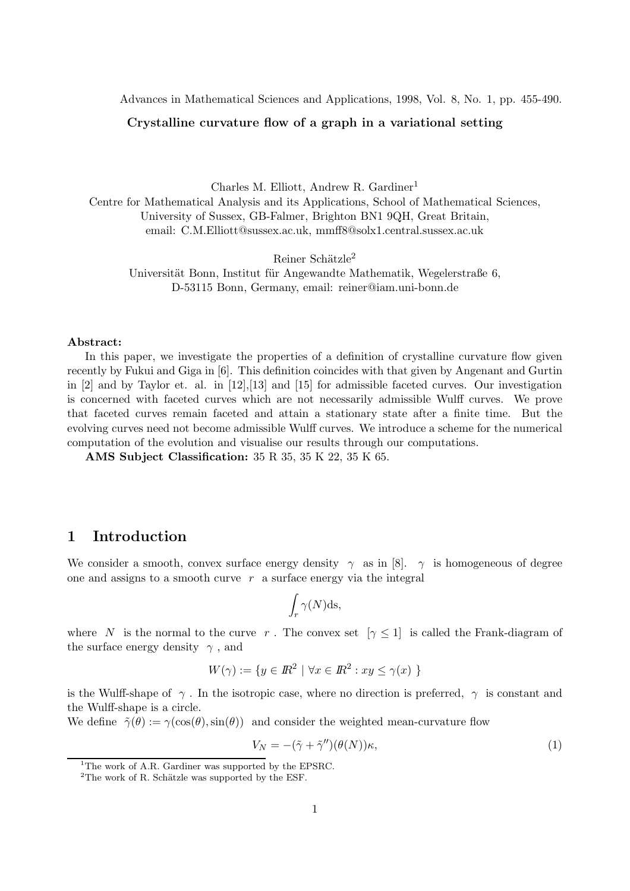Advances in Mathematical Sciences and Applications, 1998, Vol. 8, No. 1, pp. 455-490.

## Crystalline curvature flow of a graph in a variational setting

Charles M. Elliott, Andrew R. Gardiner<sup>1</sup> Centre for Mathematical Analysis and its Applications, School of Mathematical Sciences, University of Sussex, GB-Falmer, Brighton BN1 9QH, Great Britain, email: C.M.Elliott@sussex.ac.uk, mmff8@solx1.central.sussex.ac.uk

Reiner Schätzle<sup>2</sup>

Universität Bonn, Institut für Angewandte Mathematik, Wegelerstraße 6, D-53115 Bonn, Germany, email: reiner@iam.uni-bonn.de

### Abstract:

In this paper, we investigate the properties of a definition of crystalline curvature flow given recently by Fukui and Giga in [6]. This definition coincides with that given by Angenant and Gurtin in [2] and by Taylor et. al. in [12],[13] and [15] for admissible faceted curves. Our investigation is concerned with faceted curves which are not necessarily admissible Wulff curves. We prove that faceted curves remain faceted and attain a stationary state after a finite time. But the evolving curves need not become admissible Wulff curves. We introduce a scheme for the numerical computation of the evolution and visualise our results through our computations.

AMS Subject Classification: 35 R 35, 35 K 22, 35 K 65.

# 1 Introduction

We consider a smooth, convex surface energy density  $\gamma$  as in [8].  $\gamma$  is homogeneous of degree one and assigns to a smooth curve  $r$  a surface energy via the integral

$$
\int_r \gamma(N) \mathrm{ds},
$$

where N is the normal to the curve r. The convex set  $[\gamma \leq 1]$  is called the Frank-diagram of the surface energy density  $\gamma$ , and

$$
W(\gamma) := \{ y \in \mathbb{R}^2 \mid \forall x \in \mathbb{R}^2 : xy \le \gamma(x) \}
$$

is the Wulff-shape of  $\gamma$ . In the isotropic case, where no direction is preferred,  $\gamma$  is constant and the Wulff-shape is a circle.

We define  $\tilde{\gamma}(\theta) := \gamma(\cos(\theta), \sin(\theta))$  and consider the weighted mean-curvature flow

$$
V_N = -(\tilde{\gamma} + \tilde{\gamma}'')(\theta(N))\kappa,
$$
\n(1)

<sup>&</sup>lt;sup>1</sup>The work of A.R. Gardiner was supported by the EPSRC.

 $2$ The work of R. Schätzle was supported by the ESF.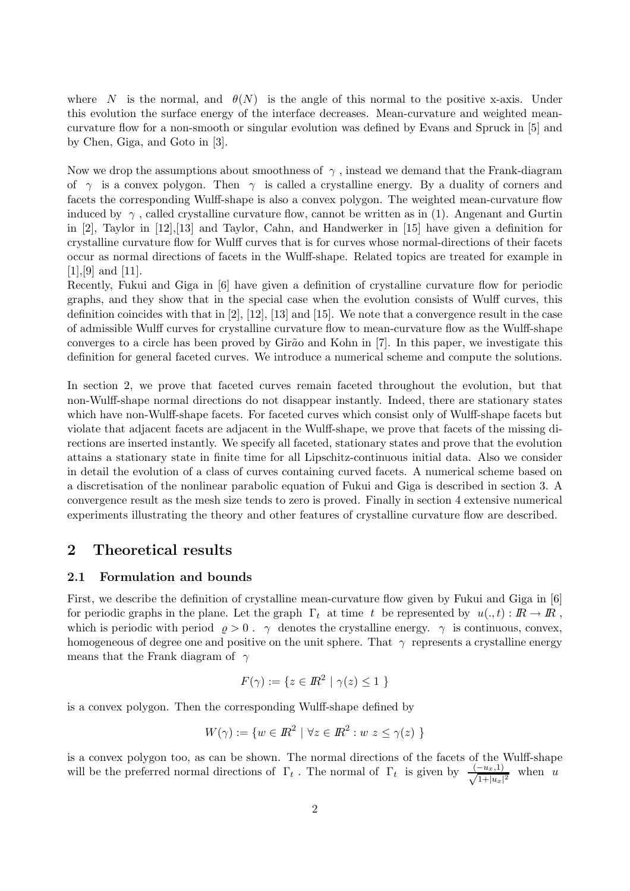where N is the normal, and  $\theta(N)$  is the angle of this normal to the positive x-axis. Under this evolution the surface energy of the interface decreases. Mean-curvature and weighted meancurvature flow for a non-smooth or singular evolution was defined by Evans and Spruck in [5] and by Chen, Giga, and Goto in [3].

Now we drop the assumptions about smoothness of  $\gamma$ , instead we demand that the Frank-diagram of  $\gamma$  is a convex polygon. Then  $\gamma$  is called a crystalline energy. By a duality of corners and facets the corresponding Wulff-shape is also a convex polygon. The weighted mean-curvature flow induced by  $\gamma$ , called crystalline curvature flow, cannot be written as in (1). Angenant and Gurtin in [2], Taylor in [12],[13] and Taylor, Cahn, and Handwerker in [15] have given a definition for crystalline curvature flow for Wulff curves that is for curves whose normal-directions of their facets occur as normal directions of facets in the Wulff-shape. Related topics are treated for example in  $[1],[9]$  and  $[11]$ .

Recently, Fukui and Giga in [6] have given a definition of crystalline curvature flow for periodic graphs, and they show that in the special case when the evolution consists of Wulff curves, this definition coincides with that in  $[2]$ ,  $[12]$ ,  $[13]$  and  $[15]$ . We note that a convergence result in the case of admissible Wulff curves for crystalline curvature flow to mean-curvature flow as the Wulff-shape converges to a circle has been proved by Girão and Kohn in [7]. In this paper, we investigate this definition for general faceted curves. We introduce a numerical scheme and compute the solutions.

In section 2, we prove that faceted curves remain faceted throughout the evolution, but that non-Wulff-shape normal directions do not disappear instantly. Indeed, there are stationary states which have non-Wulff-shape facets. For faceted curves which consist only of Wulff-shape facets but violate that adjacent facets are adjacent in the Wulff-shape, we prove that facets of the missing directions are inserted instantly. We specify all faceted, stationary states and prove that the evolution attains a stationary state in finite time for all Lipschitz-continuous initial data. Also we consider in detail the evolution of a class of curves containing curved facets. A numerical scheme based on a discretisation of the nonlinear parabolic equation of Fukui and Giga is described in section 3. A convergence result as the mesh size tends to zero is proved. Finally in section 4 extensive numerical experiments illustrating the theory and other features of crystalline curvature flow are described.

# 2 Theoretical results

## 2.1 Formulation and bounds

First, we describe the definition of crystalline mean-curvature flow given by Fukui and Giga in [6] for periodic graphs in the plane. Let the graph  $\Gamma_t$  at time t be represented by  $u(.,t): \mathbb{R} \to \mathbb{R}$ , which is periodic with period  $\rho > 0$ .  $\gamma$  denotes the crystalline energy.  $\gamma$  is continuous, convex, homogeneous of degree one and positive on the unit sphere. That  $\gamma$  represents a crystalline energy means that the Frank diagram of  $\gamma$ 

$$
F(\gamma) := \{ z \in \mathbb{R}^2 \mid \gamma(z) \le 1 \}
$$

is a convex polygon. Then the corresponding Wulff-shape defined by

$$
W(\gamma) := \{ w \in \mathbb{R}^2 \mid \forall z \in \mathbb{R}^2 : w \ z \le \gamma(z) \ \}
$$

is a convex polygon too, as can be shown. The normal directions of the facets of the Wulff-shape will be the preferred normal directions of  $\Gamma_t$ . The normal of  $\Gamma_t$  is given by  $\frac{(-u_x,1)}{\sqrt{1+|u_x|}}$  $\frac{(-u_x,1)}{1+|u_x|^2}$  when u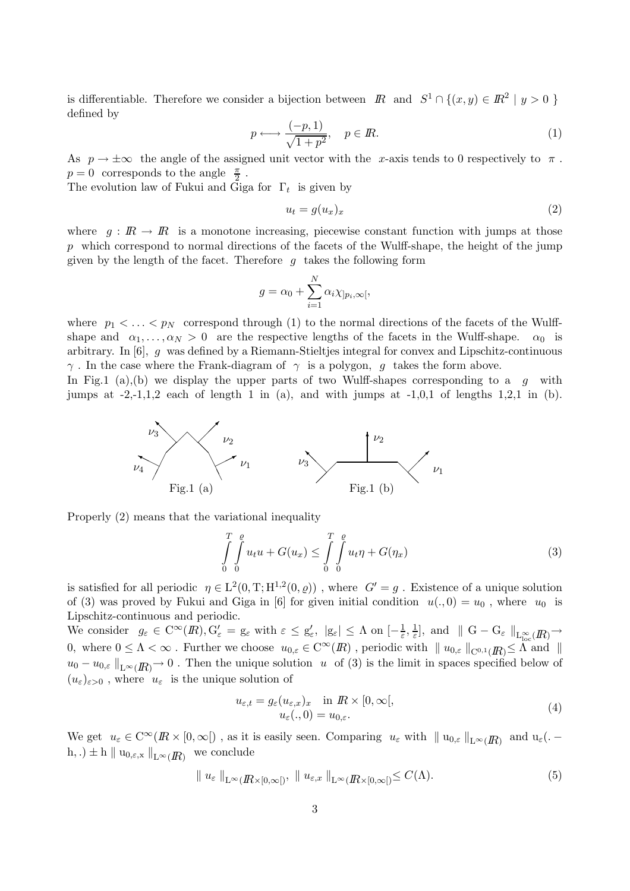is differentiable. Therefore we consider a bijection between  $\mathbb{R}$  and  $S^1 \cap \{(x, y) \in \mathbb{R}^2 \mid y > 0\}$ defined by

$$
p \longleftrightarrow \frac{(-p, 1)}{\sqrt{1 + p^2}}, \quad p \in \mathbb{R}.\tag{1}
$$

As  $p \to \pm \infty$  the angle of the assigned unit vector with the x-axis tends to 0 respectively to  $\pi$ .  $p=0$  corresponds to the angle  $\frac{\pi}{2}$ .

The evolution law of Fukui and Giga for  $\Gamma_t$  is given by

$$
u_t = g(u_x)_x \tag{2}
$$

where  $q : \mathbb{R} \to \mathbb{R}$  is a monotone increasing, piecewise constant function with jumps at those  $p$  which correspond to normal directions of the facets of the Wulff-shape, the height of the jump given by the length of the facet. Therefore  $g$  takes the following form

$$
g = \alpha_0 + \sum_{i=1}^{N} \alpha_i \chi_{]p_i,\infty[},
$$

where  $p_1 < \ldots < p_N$  correspond through (1) to the normal directions of the facets of the Wulffshape and  $\alpha_1, \ldots, \alpha_N > 0$  are the respective lengths of the facets in the Wulff-shape.  $\alpha_0$  is arbitrary. In  $[6]$ , g was defined by a Riemann-Stieltjes integral for convex and Lipschitz-continuous  $\gamma$ . In the case where the Frank-diagram of  $\gamma$  is a polygon, g takes the form above.

In Fig.1 (a),(b) we display the upper parts of two Wulff-shapes corresponding to a  $g$  with jumps at  $-2,-1,1,2$  each of length 1 in (a), and with jumps at  $-1,0,1$  of lengths 1,2,1 in (b).



Properly (2) means that the variational inequality

$$
\int_{0}^{T} \int_{0}^{e} u_t u + G(u_x) \leq \int_{0}^{T} \int_{0}^{e} u_t \eta + G(\eta_x)
$$
\n(3)

is satisfied for all periodic  $\eta \in L^2(0,T;H^{1,2}(0,\rho))$ , where  $G'=g$ . Existence of a unique solution of (3) was proved by Fukui and Giga in [6] for given initial condition  $u(., 0) = u_0$ , where  $u_0$  is Lipschitz-continuous and periodic.

We consider  $g_{\varepsilon} \in C^{\infty}(I\!\!R), G'_{\varepsilon} = g_{\varepsilon}$  with  $\varepsilon \le g'_{\varepsilon}, |g_{\varepsilon}| \le \Lambda$  on  $[-\frac{1}{\varepsilon}]$  $\frac{1}{\varepsilon}, \frac{1}{\varepsilon}$  $\frac{1}{\varepsilon}$ , and  $\parallel G - G_{\varepsilon} \parallel_{L^{\infty}_{loc}(I\!R)} \rightarrow$ 0, where  $0 \leq \Lambda < \infty$ . Further we choose  $u_{0,\varepsilon} \in C^{\infty}(I\!\!R)$ , periodic with  $||u_{0,\varepsilon}||_{C^{0,1}(I\!\!R)} \leq \Lambda$  and  $||$  $u_0 - u_{0,\varepsilon} \|_{L^\infty(\mathbb{R})} \to 0$ . Then the unique solution u of (3) is the limit in spaces specified below of  $(u_{\varepsilon})_{\varepsilon>0}$ , where  $u_{\varepsilon}$  is the unique solution of

$$
u_{\varepsilon,t} = g_{\varepsilon}(u_{\varepsilon,x})_x \quad \text{in } \mathbb{R} \times [0, \infty[,
$$
  

$$
u_{\varepsilon}(.,0) = u_{0,\varepsilon}.
$$
 (4)

We get  $u_{\varepsilon} \in C^{\infty}(I\!\!R \times [0, \infty[)$ , as it is easily seen. Comparing  $u_{\varepsilon}$  with  $||u_{0,\varepsilon}||_{L^{\infty}(I\!\!R)}$  and  $u_{\varepsilon}(.$ h, .)  $\pm$  h || u<sub>0, $\varepsilon$ ,x</sub> ||<sub>L∞(*IR*) we conclude</sub>

$$
\| u_{\varepsilon} \|_{\mathcal{L}^{\infty}(\mathbb{R} \times [0,\infty])}, \| u_{\varepsilon,x} \|_{\mathcal{L}^{\infty}(\mathbb{R} \times [0,\infty])} \leq C(\Lambda). \tag{5}
$$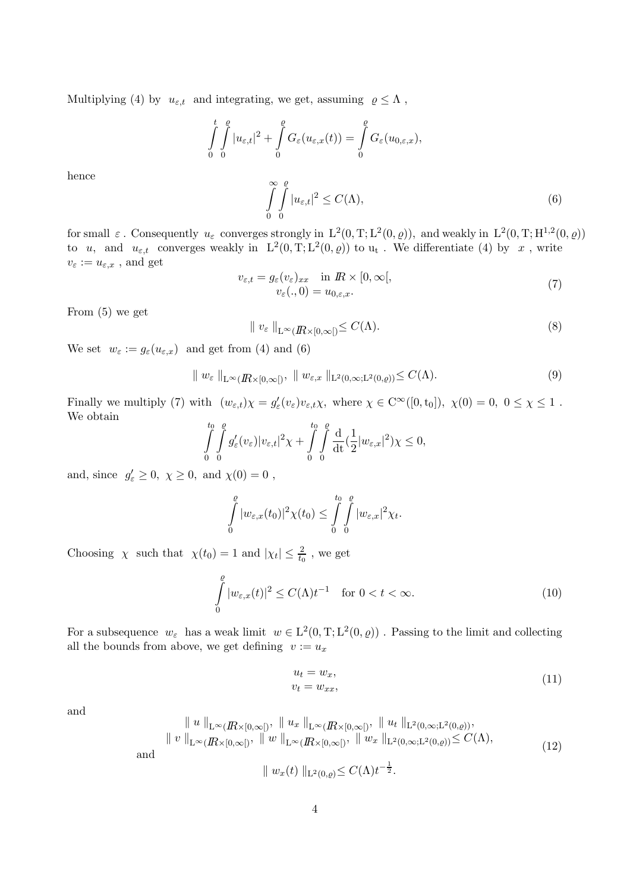Multiplying (4) by  $u_{\varepsilon,t}$  and integrating, we get, assuming  $\rho \leq \Lambda$ ,

$$
\int_{0}^{t} \int_{0}^{\varrho} |u_{\varepsilon,t}|^{2} + \int_{0}^{\varrho} G_{\varepsilon}(u_{\varepsilon,x}(t)) = \int_{0}^{\varrho} G_{\varepsilon}(u_{0,\varepsilon,x}),
$$

hence

$$
\int_{0}^{\infty} \int_{0}^{\ell} |u_{\varepsilon,t}|^{2} \le C(\Lambda),\tag{6}
$$

for small  $\varepsilon$ . Consequently  $u_{\varepsilon}$  converges strongly in  $L^2(0,T;L^2(0,\varrho))$ , and weakly in  $L^2(0,T;H^{1,2}(0,\varrho))$ to u, and  $u_{\varepsilon,t}$  converges weakly in  $L^2(0,T;L^2(0,\varrho))$  to  $u_t$ . We differentiate (4) by x, write  $v_{\varepsilon} := u_{\varepsilon,x}$ , and get

$$
v_{\varepsilon,t} = g_{\varepsilon}(v_{\varepsilon})_{xx} \quad \text{in } \mathbb{R} \times [0, \infty[,
$$
  
\n
$$
v_{\varepsilon}(.,0) = u_{0,\varepsilon,x}.
$$
\n(7)

From (5) we get

$$
\| v_{\varepsilon} \|_{\mathcal{L}^{\infty}(\mathbb{R} \times [0,\infty[)} \le C(\Lambda). \tag{8}
$$

We set  $w_{\varepsilon} := g_{\varepsilon}(u_{\varepsilon,x})$  and get from (4) and (6)

$$
\| w_{\varepsilon} \|_{\mathcal{L}^{\infty}(I\!\!R \times [0,\infty[)}, \| w_{\varepsilon,x} \|_{\mathcal{L}^{2}(0,\infty; \mathcal{L}^{2}(0,\varrho))} \leq C(\Lambda). \tag{9}
$$

Finally we multiply (7) with  $(w_{\varepsilon,t})\chi = g_{\varepsilon}'(v_{\varepsilon})v_{\varepsilon,t}\chi$ , where  $\chi \in C^{\infty}([0, t_0])$ ,  $\chi(0) = 0$ ,  $0 \le \chi \le 1$ . We obtain

$$
\int_{0}^{t_0} \int_{0}^{e} g_{\varepsilon}'(v_{\varepsilon}) |v_{\varepsilon,t}|^2 \chi + \int_{0}^{t_0} \int_{0}^{e} \frac{d}{dt} \left(\frac{1}{2}|w_{\varepsilon,x}|^2\right) \chi \leq 0,
$$

and, since  $g'_{\varepsilon} \geq 0$ ,  $\chi \geq 0$ , and  $\chi(0) = 0$ ,

$$
\int_{0}^{e} |w_{\varepsilon,x}(t_0)|^2 \chi(t_0) \leq \int_{0}^{t_0} \int_{0}^{e} |w_{\varepsilon,x}|^2 \chi_t.
$$

Choosing  $\chi$  such that  $\chi(t_0) = 1$  and  $|\chi_t| \leq \frac{2}{t_0}$ , we get

$$
\int_{0}^{\varrho} |w_{\varepsilon,x}(t)|^2 \le C(\Lambda)t^{-1} \quad \text{for } 0 < t < \infty.
$$
 (10)

For a subsequence  $w_{\varepsilon}$  has a weak limit  $w \in L^2(0, T; L^2(0, \varrho))$ . Passing to the limit and collecting all the bounds from above, we get defining  $v := u_x$ 

$$
u_t = w_x,
$$
  
\n
$$
v_t = w_{xx},
$$
\n(11)

and

$$
\| u \|_{L^{\infty}(I\!\!R \times [0,\infty[)}, \| u_x \|_{L^{\infty}(I\!\!R \times [0,\infty[)}, \| u_t \|_{L^2(0,\infty;L^2(0,\varrho))},
$$
  

$$
\| v \|_{L^{\infty}(I\!\!R \times [0,\infty[)}, \| w \|_{L^{\infty}(I\!\!R \times [0,\infty[)}, \| w_x \|_{L^2(0,\infty;L^2(0,\varrho))} \leq C(\Lambda),
$$
  

$$
\| w_x(t) \|_{L^2(0,\varrho)} \leq C(\Lambda) t^{-\frac{1}{2}}.
$$
 (12)

and

$$
\nu_x(\nu) \parallel_{\mathsf{L}^2(0,\varrho)} \preceq \circ (\mathsf{H}) \nu
$$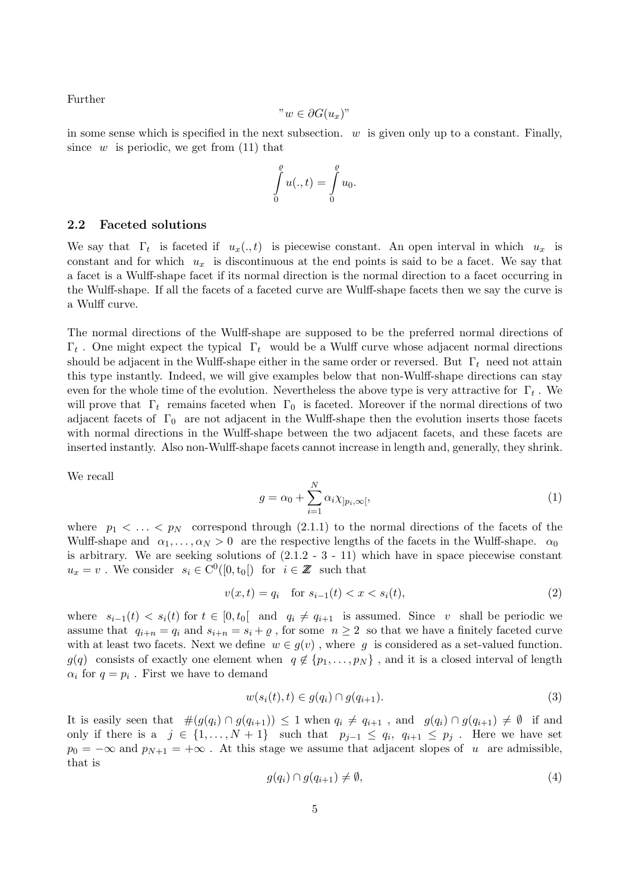Further

$$
"w\in \partial G(u_x)"
$$

in some sense which is specified in the next subsection.  $w$  is given only up to a constant. Finally, since w is periodic, we get from  $(11)$  that

$$
\int\limits_0^{\varrho} u(.,t) = \int\limits_0^{\varrho} u_0.
$$

### 2.2 Faceted solutions

We say that  $\Gamma_t$  is faceted if  $u_x(.,t)$  is piecewise constant. An open interval in which  $u_x$  is constant and for which  $u_x$  is discontinuous at the end points is said to be a facet. We say that a facet is a Wulff-shape facet if its normal direction is the normal direction to a facet occurring in the Wulff-shape. If all the facets of a faceted curve are Wulff-shape facets then we say the curve is a Wulff curve.

The normal directions of the Wulff-shape are supposed to be the preferred normal directions of  $\Gamma_t$ . One might expect the typical  $\Gamma_t$  would be a Wulff curve whose adjacent normal directions should be adjacent in the Wulff-shape either in the same order or reversed. But  $\Gamma_t$  need not attain this type instantly. Indeed, we will give examples below that non-Wulff-shape directions can stay even for the whole time of the evolution. Nevertheless the above type is very attractive for  $\Gamma_t$ . We will prove that  $\Gamma_t$  remains faceted when  $\Gamma_0$  is faceted. Moreover if the normal directions of two adjacent facets of  $\Gamma_0$  are not adjacent in the Wulff-shape then the evolution inserts those facets with normal directions in the Wulff-shape between the two adjacent facets, and these facets are inserted instantly. Also non-Wulff-shape facets cannot increase in length and, generally, they shrink.

We recall

$$
g = \alpha_0 + \sum_{i=1}^{N} \alpha_i \chi_{]p_i, \infty[},
$$
\n(1)

where  $p_1 < \ldots < p_N$  correspond through (2.1.1) to the normal directions of the facets of the Wulff-shape and  $\alpha_1, \ldots, \alpha_N > 0$  are the respective lengths of the facets in the Wulff-shape.  $\alpha_0$ is arbitrary. We are seeking solutions of (2.1.2 - 3 - 11) which have in space piecewise constant  $u_x = v$ . We consider  $s_i \in C^0([0, t_0])$  for  $i \in \mathbb{Z}$  such that

$$
v(x,t) = q_i \quad \text{for } s_{i-1}(t) < x < s_i(t),\tag{2}
$$

where  $s_{i-1}(t) < s_i(t)$  for  $t \in [0, t_0]$  and  $q_i \neq q_{i+1}$  is assumed. Since v shall be periodic we assume that  $q_{i+n} = q_i$  and  $s_{i+n} = s_i + \rho$ , for some  $n \geq 2$  so that we have a finitely faceted curve with at least two facets. Next we define  $w \in g(v)$ , where g is considered as a set-valued function.  $g(q)$  consists of exactly one element when  $q \notin \{p_1, \ldots, p_N\}$ , and it is a closed interval of length  $\alpha_i$  for  $q = p_i$ . First we have to demand

$$
w(s_i(t),t) \in g(q_i) \cap g(q_{i+1}).
$$
\n
$$
(3)
$$

It is easily seen that  $\#(g(q_i) \cap g(q_{i+1})) \leq 1$  when  $q_i \neq q_{i+1}$ , and  $g(q_i) \cap g(q_{i+1}) \neq \emptyset$  if and only if there is a  $j \in \{1, ..., N+1\}$  such that  $p_{j-1} \le q_i, q_{i+1} \le p_j$ . Here we have set  $p_0 = -\infty$  and  $p_{N+1} = +\infty$ . At this stage we assume that adjacent slopes of u are admissible, that is

$$
g(q_i) \cap g(q_{i+1}) \neq \emptyset, \tag{4}
$$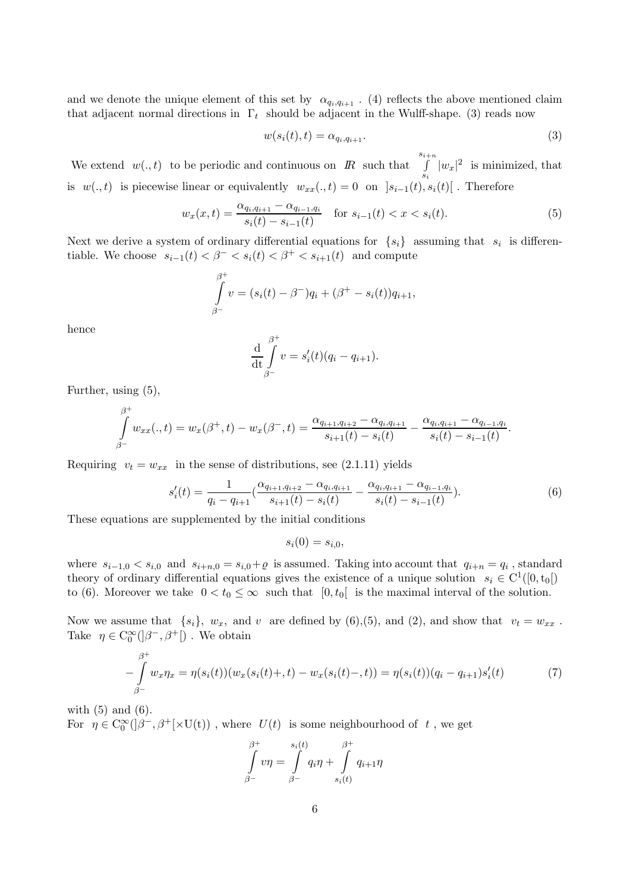and we denote the unique element of this set by  $\alpha_{q_i,q_{i+1}}$ . (4) reflects the above mentioned claim that adjacent normal directions in  $\Gamma_t$  should be adjacent in the Wulff-shape. (3) reads now

$$
w(s_i(t),t) = \alpha_{q_i,q_{i+1}}.\tag{3}
$$

We extend  $w(., t)$  to be periodic and continuous on  $\mathbb{R}$  such that si $\int$  $\int_{s_i} |w_x|^2$  is minimized, that is  $w(., t)$  is piecewise linear or equivalently  $w_{xx}(., t) = 0$  on  $]s_{i-1}(t), s_i(t)[$ . Therefore

$$
w_x(x,t) = \frac{\alpha_{q_i,q_{i+1}} - \alpha_{q_{i-1},q_i}}{s_i(t) - s_{i-1}(t)} \quad \text{for } s_{i-1}(t) < x < s_i(t). \tag{5}
$$

Next we derive a system of ordinary differential equations for  $\{s_i\}$  assuming that  $s_i$  is differentiable. We choose  $s_{i-1}(t) < \beta^{-} < s_i(t) < \beta^{+} < s_{i+1}(t)$  and compute

$$
\int_{\beta^-}^{\beta^+} v = (s_i(t) - \beta^-)q_i + (\beta^+ - s_i(t))q_{i+1},
$$

hence

$$
\frac{\mathrm{d}}{\mathrm{d}t} \int_{\beta^-}^{\beta^+} v = s_i'(t)(q_i - q_{i+1}).
$$

Further, using (5),

$$
\int_{\beta^-}^{\beta^+} w_{xx}(.,t) = w_x(\beta^+,t) - w_x(\beta^-,t) = \frac{\alpha_{q_{i+1},q_{i+2}} - \alpha_{q_i,q_{i+1}}}{s_{i+1}(t) - s_i(t)} - \frac{\alpha_{q_i,q_{i+1}} - \alpha_{q_{i-1},q_i}}{s_i(t) - s_{i-1}(t)}.
$$

Requiring  $v_t = w_{xx}$  in the sense of distributions, see (2.1.11) yields

$$
s'_{i}(t) = \frac{1}{q_{i} - q_{i+1}} \left( \frac{\alpha_{q_{i+1}, q_{i+2}} - \alpha_{q_{i}, q_{i+1}}}{s_{i+1}(t) - s_{i}(t)} - \frac{\alpha_{q_{i}, q_{i+1}} - \alpha_{q_{i-1}, q_{i}}}{s_{i}(t) - s_{i-1}(t)} \right). \tag{6}
$$

These equations are supplemented by the initial conditions

$$
s_i(0) = s_{i,0},
$$

where  $s_{i-1,0} < s_{i,0}$  and  $s_{i+n,0} = s_{i,0} + \varrho$  is assumed. Taking into account that  $q_{i+n} = q_i$ , standard theory of ordinary differential equations gives the existence of a unique solution  $s_i \in C^1([0, t_0])$ to (6). Moreover we take  $0 < t_0 \leq \infty$  such that  $[0, t_0]$  is the maximal interval of the solution.

Now we assume that  $\{s_i\}$ ,  $w_x$ , and v are defined by (6),(5), and (2), and show that  $v_t = w_{xx}$ . Take  $\eta \in C_0^{\infty}(\mathcal{B}^-, \mathcal{B}^+])$ . We obtain

$$
-\int_{\beta^-}^{\beta^+} w_x \eta_x = \eta(s_i(t)) (w_x(s_i(t), t) - w_x(s_i(t), t)) = \eta(s_i(t)) (q_i - q_{i+1}) s_i'(t)
$$
\n(7)

with  $(5)$  and  $(6)$ . For  $\eta \in C_0^{\infty}(\beta^-,\beta^+[\times \mathcal{U}(t))$ , where  $U(t)$  is some neighbourhood of  $t$ , we get

$$
\int_{\beta^-}^{\beta^+} v \eta = \int_{\beta^-}^{s_i(t)} q_i \eta + \int_{s_i(t)}^{\beta^+} q_{i+1} \eta
$$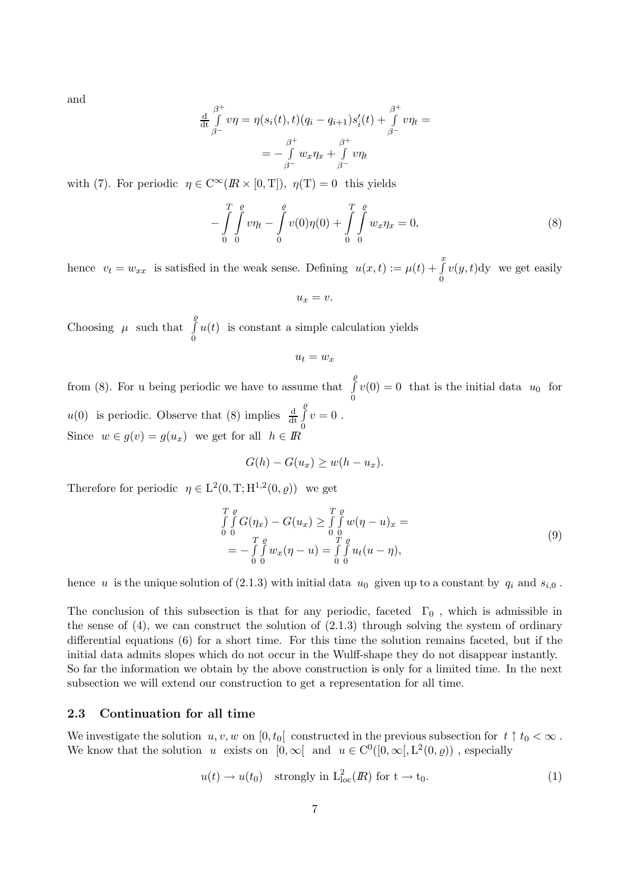and

$$
\frac{\mathrm{d}}{\mathrm{d}t} \int_{\beta^-}^{\beta^+} v \eta = \eta(s_i(t), t) (q_i - q_{i+1}) s_i'(t) + \int_{\beta^-}^{\beta^+} v \eta_t =
$$
\n
$$
= -\int_{\beta^-}^{\beta^+} w_x \eta_x + \int_{\beta^-}^{\beta^+} v \eta_t
$$

with (7). For periodic  $\eta \in C^{\infty}(I\!\!R \times [0,T]), \eta(T) = 0$  this yields

$$
-\int_{0}^{T} \int_{0}^{e} v\eta_{t} - \int_{0}^{e} v(0)\eta(0) + \int_{0}^{T} \int_{0}^{e} w_{x}\eta_{x} = 0,
$$
\n(8)

hence  $v_t = w_{xx}$  is satisfied in the weak sense. Defining  $u(x,t) := \mu(t) + \int_0^x u(x) dt$  $v(y, t)$ dy we get easily

$$
u_x=v.
$$

Choosing  $\mu$  such that  $\varrho$ R 0  $u(t)$  is constant a simple calculation yields

$$
u_t = w_x
$$

from (8). For u being periodic we have to assume that  $\varrho$ R  $\int_0^1 v(0) = 0$  that is the initial data  $u_0$  for  $u(0)$  is periodic. Observe that (8) implies  $\frac{d}{dt}$  $\varrho$ R 0  $v=0$ . Since  $w \in g(v) = g(u_x)$  we get for all  $h \in \mathbb{R}$ 

$$
G(h) - G(u_x) \ge w(h - u_x).
$$

Therefore for periodic  $\eta \in L^2(0, T; H^{1,2}(0, \varrho))$  we get

$$
\int_{0}^{T} \int_{0}^{a} G(\eta_x) - G(u_x) \ge \int_{0}^{T} \int_{0}^{a} w(\eta - u)_x =
$$
\n
$$
= - \int_{0}^{T} \int_{0}^{a} w_x(\eta - u) = \int_{0}^{T} \int_{0}^{a} u_t(u - \eta),
$$
\n(9)

hence u is the unique solution of (2.1.3) with initial data  $u_0$  given up to a constant by  $q_i$  and  $s_{i,0}$ .

The conclusion of this subsection is that for any periodic, faceted  $\Gamma_0$ , which is admissible in the sense of  $(4)$ , we can construct the solution of  $(2.1.3)$  through solving the system of ordinary differential equations (6) for a short time. For this time the solution remains faceted, but if the initial data admits slopes which do not occur in the Wulff-shape they do not disappear instantly. So far the information we obtain by the above construction is only for a limited time. In the next subsection we will extend our construction to get a representation for all time.

## 2.3 Continuation for all time

We investigate the solution  $u, v, w$  on  $[0, t_0]$  constructed in the previous subsection for  $t \uparrow t_0 < \infty$ . We know that the solution u exists on  $[0, \infty[$  and  $u \in C^0([0, \infty[, L^2(0, \varrho))$ , especially

$$
u(t) \to u(t_0) \quad \text{strongly in } \mathcal{L}^2_{\text{loc}}(I\!\!R) \text{ for } t \to t_0. \tag{1}
$$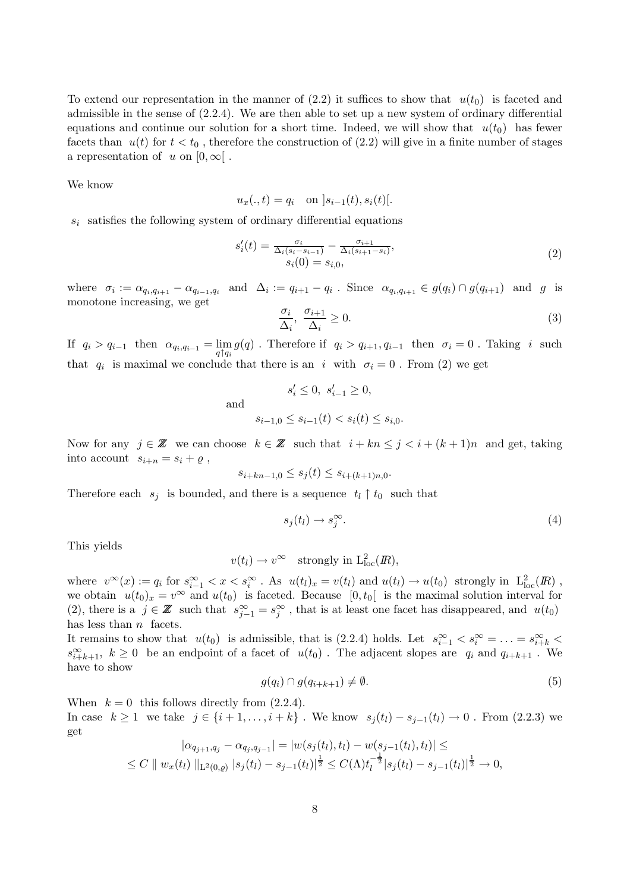To extend our representation in the manner of  $(2.2)$  it suffices to show that  $u(t_0)$  is faceted and admissible in the sense of (2.2.4). We are then able to set up a new system of ordinary differential equations and continue our solution for a short time. Indeed, we will show that  $u(t_0)$  has fewer facets than  $u(t)$  for  $t < t_0$ , therefore the construction of (2.2) will give in a finite number of stages a representation of u on  $[0,\infty]$ .

We know

$$
u_x(.,t) = q_i
$$
 on  $|s_{i-1}(t), s_i(t)|$ .

 $s_i$  satisfies the following system of ordinary differential equations

$$
s'_{i}(t) = \frac{\sigma_{i}}{\Delta_{i}(s_{i} - s_{i-1})} - \frac{\sigma_{i+1}}{\Delta_{i}(s_{i+1} - s_{i})},
$$
  
\n
$$
s_{i}(0) = s_{i,0},
$$
\n(2)

where  $\sigma_i := \alpha_{q_i,q_{i+1}} - \alpha_{q_{i-1},q_i}$  and  $\Delta_i := q_{i+1} - q_i$ . Since  $\alpha_{q_i,q_{i+1}} \in g(q_i) \cap g(q_{i+1})$  and g is monotone increasing, we get

$$
\frac{\sigma_i}{\Delta_i}, \frac{\sigma_{i+1}}{\Delta_i} \ge 0. \tag{3}
$$

If  $q_i > q_{i-1}$  then  $\alpha_{q_i,q_{i-1}} = \lim_{q \uparrow q_i} g(q)$ . Therefore if  $q_i > q_{i+1}, q_{i-1}$  then  $\sigma_i = 0$ . Taking i such that  $q_i$  is maximal we conclude that there is an i with  $\sigma_i = 0$ . From (2) we get

and  

$$
s'_{i} \leq 0, \ s'_{i-1} \geq 0,
$$

$$
s_{i-1,0} \leq s_{i-1}(t) < s_{i}(t) \leq s_{i,0}.
$$

Now for any  $j \in \mathbb{Z}$  we can choose  $k \in \mathbb{Z}$  such that  $i + kn \leq j < i + (k+1)n$  and get, taking into account  $s_{i+n} = s_i + \varrho$ ,

$$
s_{i+kn-1,0} \le s_j(t) \le s_{i+(k+1)n,0}.
$$

Therefore each  $s_i$  is bounded, and there is a sequence  $t_l \uparrow t_0$  such that

$$
s_j(t_l) \to s_j^{\infty}.\tag{4}
$$

This yields

$$
v(t_l) \to v^{\infty}
$$
 strongly in  $L^2_{loc}(I\!\!R)$ ,

where  $v^{\infty}(x) := q_i$  for  $s_{i-1}^{\infty} < x < s_i^{\infty}$ . As  $u(t_l)_x = v(t_l)$  and  $u(t_l) \to u(t_0)$  strongly in  $L^2_{loc}(I\!\!R)$ , we obtain  $u(t_0)_x = v^\infty$  and  $u(t_0)$  is faceted. Because  $[0, t_0]$  is the maximal solution interval for (2), there is a  $j \in \mathbb{Z}$  such that  $s_{j-1}^{\infty} = s_j^{\infty}$ , that is at least one facet has disappeared, and  $u(t_0)$ has less than  $n$  facets.

It remains to show that  $u(t_0)$  is admissible, that is (2.2.4) holds. Let  $s_{i-1}^{\infty} < s_i^{\infty} = \ldots = s_{i+k}^{\infty} <$  $s_{i+k+1}^{\infty}$ ,  $k \geq 0$  be an endpoint of a facet of  $u(t_0)$ . The adjacent slopes are  $q_i$  and  $q_{i+k+1}$ . We have to show

$$
g(q_i) \cap g(q_{i+k+1}) \neq \emptyset. \tag{5}
$$

When  $k = 0$  this follows directly from  $(2.2.4)$ .

In case  $k \ge 1$  we take  $j \in \{i+1, \ldots, i+k\}$ . We know  $s_j(t_l) - s_{j-1}(t_l) \to 0$ . From (2.2.3) we get

$$
|\alpha_{q_{j+1},q_j} - \alpha_{q_j,q_{j-1}}| = |w(s_j(t_l), t_l) - w(s_{j-1}(t_l), t_l)| \le
$$
  

$$
\le C || w_x(t_l) ||_{L^2(0,\varrho)} |s_j(t_l) - s_{j-1}(t_l)|^{\frac{1}{2}} \le C(\Lambda) t_l^{-\frac{1}{2}} |s_j(t_l) - s_{j-1}(t_l)|^{\frac{1}{2}} \to 0,
$$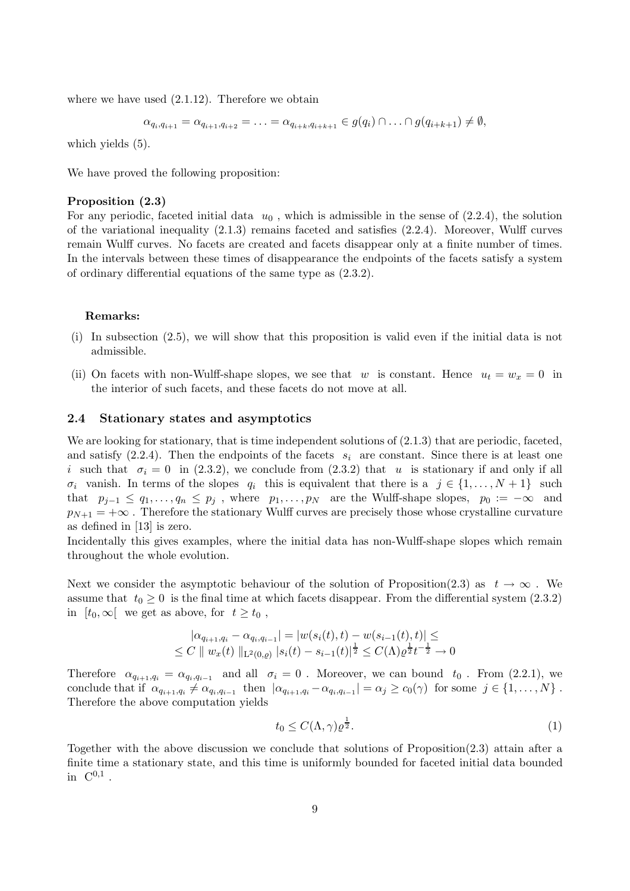where we have used  $(2.1.12)$ . Therefore we obtain

$$
\alpha_{q_i,q_{i+1}} = \alpha_{q_{i+1},q_{i+2}} = \ldots = \alpha_{q_{i+k},q_{i+k+1}} \in g(q_i) \cap \ldots \cap g(q_{i+k+1}) \neq \emptyset,
$$

which yields  $(5)$ .

We have proved the following proposition:

### Proposition (2.3)

For any periodic, faceted initial data  $u_0$ , which is admissible in the sense of  $(2.2.4)$ , the solution of the variational inequality  $(2.1.3)$  remains faceted and satisfies  $(2.2.4)$ . Moreover, Wulff curves remain Wulff curves. No facets are created and facets disappear only at a finite number of times. In the intervals between these times of disappearance the endpoints of the facets satisfy a system of ordinary differential equations of the same type as (2.3.2).

#### Remarks:

- (i) In subsection (2.5), we will show that this proposition is valid even if the initial data is not admissible.
- (ii) On facets with non-Wulff-shape slopes, we see that w is constant. Hence  $u_t = w_x = 0$  in the interior of such facets, and these facets do not move at all.

#### 2.4 Stationary states and asymptotics

We are looking for stationary, that is time independent solutions of  $(2.1.3)$  that are periodic, faceted, and satisfy  $(2.2.4)$ . Then the endpoints of the facets  $s_i$  are constant. Since there is at least one i such that  $\sigma_i = 0$  in (2.3.2), we conclude from (2.3.2) that u is stationary if and only if all  $\sigma_i$  vanish. In terms of the slopes  $q_i$  this is equivalent that there is a  $j \in \{1, ..., N+1\}$  such that  $p_{j-1} \le q_1, \ldots, q_n \le p_j$ , where  $p_1, \ldots, p_N$  are the Wulff-shape slopes,  $p_0 := -\infty$  and  $p_{N+1} = +\infty$ . Therefore the stationary Wulff curves are precisely those whose crystalline curvature as defined in [13] is zero.

Incidentally this gives examples, where the initial data has non-Wulff-shape slopes which remain throughout the whole evolution.

Next we consider the asymptotic behaviour of the solution of Proposition(2.3) as  $t \to \infty$ . We assume that  $t_0 \geq 0$  is the final time at which facets disappear. From the differential system (2.3.2) in  $[t_0, \infty]$  we get as above, for  $t \geq t_0$ ,

$$
|\alpha_{q_{i+1},q_i} - \alpha_{q_i,q_{i-1}}| = |w(s_i(t),t) - w(s_{i-1}(t),t)| \le
$$
  
\n
$$
\le C \parallel w_x(t) \parallel_{\mathbb{L}^2(0,\rho)} |s_i(t) - s_{i-1}(t)|^{\frac{1}{2}} \le C(\Lambda) \varrho^{\frac{1}{2}} t^{-\frac{1}{2}} \to 0
$$

Therefore  $\alpha_{q_{i+1},q_i} = \alpha_{q_i,q_{i-1}}$  and all  $\sigma_i = 0$ . Moreover, we can bound  $t_0$ . From (2.2.1), we conclude that if  $\alpha_{q_{i+1},q_i} \neq \alpha_{q_i,q_{i-1}}$  then  $|\alpha_{q_{i+1},q_i} - \alpha_{q_i,q_{i-1}}| = \alpha_j \geq c_0(\gamma)$  for some  $j \in \{1, ..., N\}$ . Therefore the above computation yields

$$
t_0 \le C(\Lambda, \gamma) \varrho^{\frac{1}{2}}.
$$
\n<sup>(1)</sup>

Together with the above discussion we conclude that solutions of Proposition(2.3) attain after a finite time a stationary state, and this time is uniformly bounded for faceted initial data bounded in  $C^{0,1}$ .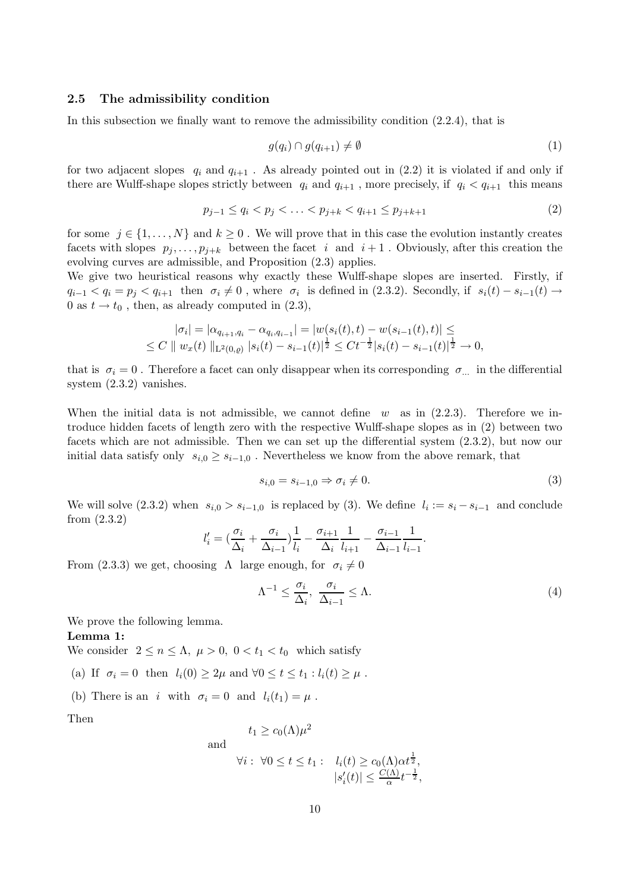## 2.5 The admissibility condition

In this subsection we finally want to remove the admissibility condition (2.2.4), that is

$$
g(q_i) \cap g(q_{i+1}) \neq \emptyset \tag{1}
$$

for two adjacent slopes  $q_i$  and  $q_{i+1}$ . As already pointed out in (2.2) it is violated if and only if there are Wulff-shape slopes strictly between  $q_i$  and  $q_{i+1}$ , more precisely, if  $q_i < q_{i+1}$  this means

$$
p_{j-1} \le q_i < p_j < \ldots < p_{j+k} < q_{i+1} \le p_{j+k+1} \tag{2}
$$

for some  $j \in \{1, \ldots, N\}$  and  $k \geq 0$ . We will prove that in this case the evolution instantly creates facets with slopes  $p_j, \ldots, p_{j+k}$  between the facet i and  $i+1$ . Obviously, after this creation the evolving curves are admissible, and Proposition (2.3) applies.

We give two heuristical reasons why exactly these Wulff-shape slopes are inserted. Firstly, if  $q_{i-1} < q_i = p_j < q_{i+1}$  then  $\sigma_i \neq 0$ , where  $\sigma_i$  is defined in (2.3.2). Secondly, if  $s_i(t) - s_{i-1}(t) \rightarrow$ 0 as  $t \rightarrow t_0$ , then, as already computed in (2.3),

$$
|\sigma_i| = |\alpha_{q_{i+1},q_i} - \alpha_{q_i,q_{i-1}}| = |w(s_i(t),t) - w(s_{i-1}(t),t)| \le
$$
  
\n
$$
\le C \parallel w_x(t) \parallel_{L^2(0,\rho)} |s_i(t) - s_{i-1}(t)|^{\frac{1}{2}} \le Ct^{-\frac{1}{2}} |s_i(t) - s_{i-1}(t)|^{\frac{1}{2}} \to 0,
$$

that is  $\sigma_i = 0$ . Therefore a facet can only disappear when its corresponding  $\sigma_{\dots}$  in the differential system (2.3.2) vanishes.

When the initial data is not admissible, we cannot define  $w$  as in (2.2.3). Therefore we introduce hidden facets of length zero with the respective Wulff-shape slopes as in (2) between two facets which are not admissible. Then we can set up the differential system (2.3.2), but now our initial data satisfy only  $s_{i,0} \geq s_{i-1,0}$ . Nevertheless we know from the above remark, that

$$
s_{i,0} = s_{i-1,0} \Rightarrow \sigma_i \neq 0. \tag{3}
$$

We will solve  $(2.3.2)$  when  $s_{i,0} > s_{i-1,0}$  is replaced by (3). We define  $l_i := s_i - s_{i-1}$  and conclude from (2.3.2)

$$
l'_{i} = \left(\frac{\sigma_{i}}{\Delta_{i}} + \frac{\sigma_{i}}{\Delta_{i-1}}\right) \frac{1}{l_{i}} - \frac{\sigma_{i+1}}{\Delta_{i}} \frac{1}{l_{i+1}} - \frac{\sigma_{i-1}}{\Delta_{i-1}} \frac{1}{l_{i-1}}.
$$

From (2.3.3) we get, choosing  $\Lambda$  large enough, for  $\sigma_i \neq 0$ 

$$
\Lambda^{-1} \le \frac{\sigma_i}{\Delta_i}, \ \frac{\sigma_i}{\Delta_{i-1}} \le \Lambda. \tag{4}
$$

We prove the following lemma.

#### Lemma 1:

We consider  $2 \le n \le \Lambda$ ,  $\mu > 0$ ,  $0 < t_1 < t_0$  which satisfy

- (a) If  $\sigma_i = 0$  then  $l_i(0) \geq 2\mu$  and  $\forall 0 \leq t \leq t_1 : l_i(t) \geq \mu$ .
- (b) There is an i with  $\sigma_i = 0$  and  $l_i(t_1) = \mu$ .

Then

$$
t_1 \ge c_0(\Lambda)\mu^2
$$

and

$$
\forall i: \ \forall 0 \le t \le t_1: \quad l_i(t) \ge c_0(\Lambda) \alpha t^{\frac{1}{2}},
$$

$$
|s'_i(t)| \le \frac{C(\Lambda)}{\alpha} t^{-\frac{1}{2}},
$$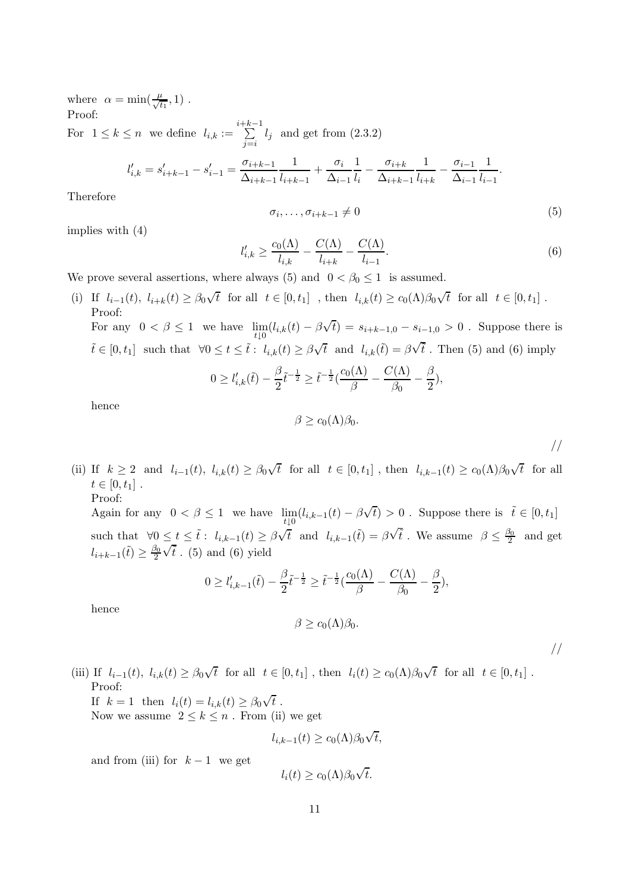where  $\alpha = \min(\frac{\mu}{\sqrt{t}})$  $\frac{t}{t_1}, 1)$ . Proof: For  $1 \leq k \leq n$  we define  $l_{i,k} := \sum_{i=1}^{i+k-1}$  $\sum_{j=i} l_j$  and get from  $(2.3.2)$ 

$$
l'_{i,k} = s'_{i+k-1} - s'_{i-1} = \frac{\sigma_{i+k-1}}{\Delta_{i+k-1}} \frac{1}{l_{i+k-1}} + \frac{\sigma_i}{\Delta_{i-1}} \frac{1}{l_i} - \frac{\sigma_{i+k}}{\Delta_{i+k-1}} \frac{1}{l_{i+k}} - \frac{\sigma_{i-1}}{\Delta_{i-1}} \frac{1}{l_{i-1}}.
$$

Therefore

$$
\sigma_i, \ldots, \sigma_{i+k-1} \neq 0 \tag{5}
$$

implies with (4)

$$
l'_{i,k} \ge \frac{c_0(\Lambda)}{l_{i,k}} - \frac{C(\Lambda)}{l_{i+k}} - \frac{C(\Lambda)}{l_{i-1}}.\tag{6}
$$

We prove several assertions, where always (5) and  $0 < \beta_0 \le 1$  is assumed.

(i) If  $l_{i-1}(t)$ ,  $l_{i+k}(t) \geq \beta_0 \sqrt{t}$  for all  $t \in [0, t_1]$ , then  $l_{i,k}(t) \geq c_0(\Lambda)\beta_0\sqrt{t}$  for all  $t \in [0, t_1]$ . Proof: For any  $0 < \beta \le 1$  we have  $\lim_{t \downarrow 0} (l_{i,k}(t) - \beta \sqrt{t}) = s_{i+k-1,0} - s_{i-1,0} > 0$ . Suppose there is

$$
\tilde{t} \in [0, t_1]
$$
 such that  $\forall 0 \le t \le \tilde{t}: l_{i,k}(t) \ge \beta \sqrt{t}$  and  $l_{i,k}(\tilde{t}) = \beta \sqrt{\tilde{t}}$ . Then (5) and (6) imply

$$
0 \ge l'_{i,k}(\tilde{t}) - \frac{\beta}{2} \tilde{t}^{-\frac{1}{2}} \ge \tilde{t}^{-\frac{1}{2}} \left( \frac{c_0(\Lambda)}{\beta} - \frac{C(\Lambda)}{\beta_0} - \frac{\beta}{2} \right),
$$

hence

$$
\beta \geq c_0(\Lambda)\beta_0.
$$

//

(ii) If  $k \geq 2$  and  $l_{i-1}(t)$ ,  $l_{i,k}(t) \geq \beta_0 \sqrt{t}$  for all  $t \in [0, t_1]$ , then  $l_{i,k-1}(t) \geq c_0(\Lambda) \beta_0 \sqrt{t}$  for all  $t \in [0, t_1]$ . Proof:

Again for any  $0 < \beta \le 1$  we have  $\lim_{t \downarrow 0} (l_{i,k-1}(t) - \beta \sqrt{t}) > 0$ . Suppose there is  $\tilde{t} \in [0, t_1]$ such that  $\forall 0 \leq t \leq \tilde{t}: l_{i,k-1}(t) \geq \beta \sqrt{t}$  and  $l_{i,k-1}(\tilde{t}) = \beta \sqrt{t}$ . We assume  $\beta \leq \frac{\beta_0}{2}$  $rac{50}{2}$  and get  $l_{i+k-1}(\tilde{t}) \geq \frac{\beta_0}{2}$ 2  $\overline{\sqrt{\tilde{t}}}$ . (5) and (6) yield

$$
0 \ge l'_{i,k-1}(\tilde{t}) - \frac{\beta}{2} \tilde{t}^{-\frac{1}{2}} \ge \tilde{t}^{-\frac{1}{2}} \left( \frac{c_0(\Lambda)}{\beta} - \frac{C(\Lambda)}{\beta_0} - \frac{\beta}{2} \right),
$$

hence

$$
\beta \geq c_0(\Lambda)\beta_0.
$$

//

(iii) If  $l_{i-1}(t)$ ,  $l_{i,k}(t) \geq \beta_0 \sqrt{t}$  for all  $t \in [0, t_1]$ , then  $l_i(t) \geq c_0(\Lambda)\beta_0\sqrt{t}$  for all  $t \in [0, t_1]$ . Proof:

If  $k = 1$  then  $l_i(t) = l_{i,k}(t) \ge \beta_0 \sqrt{t}$ .

Now we assume  $2 \leq k \leq n$ . From (ii) we get

$$
l_{i,k-1}(t) \ge c_0(\Lambda)\beta_0\sqrt{t},
$$

and from (iii) for  $k-1$  we get

$$
l_i(t) \ge c_0(\Lambda) \beta_0 \sqrt{t}.
$$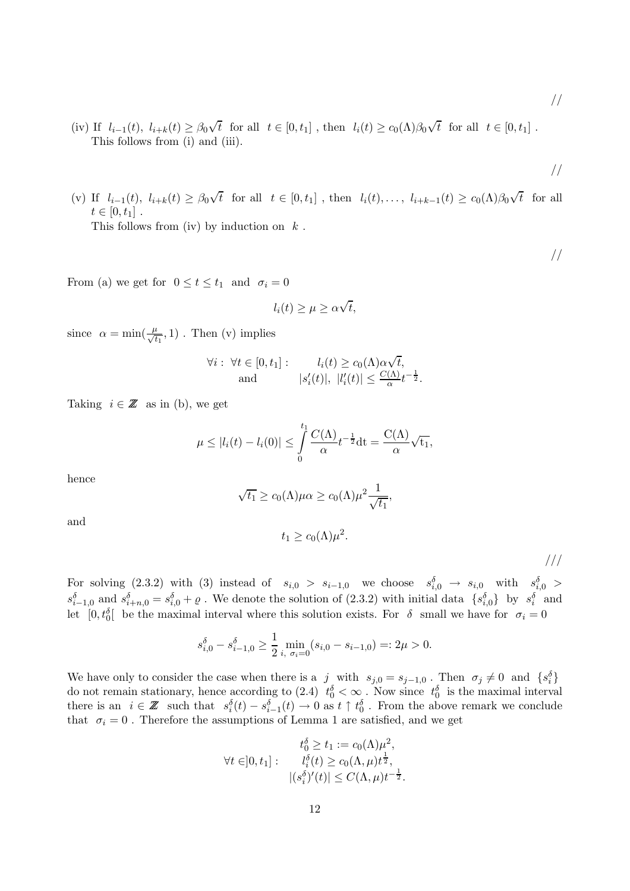- (iv) If  $l_{i-1}(t)$ ,  $l_{i+k}(t) \geq \beta_0 \sqrt{t}$  for all  $t \in [0, t_1]$ , then  $l_i(t) \geq c_0(\Lambda)\beta_0\sqrt{t}$  for all  $t \in [0, t_1]$ . This follows from (i) and (iii).
- //

//

//

(v) If  $l_{i-1}(t)$ ,  $l_{i+k}(t) \geq \beta_0 \sqrt{t}$  for all  $t \in [0, t_1]$ , then  $l_i(t), \ldots, l_{i+k-1}(t) \geq c_0(\Lambda) \beta_0 \sqrt{t}$  for all  $t \in [0, t_1]$ . This follows from (iv) by induction on  $k$ .

From (a) we get for  $0 \le t \le t_1$  and  $\sigma_i = 0$ 

$$
l_i(t) \ge \mu \ge \alpha \sqrt{t},
$$

since  $\alpha = \min(\frac{\mu}{\sqrt{t}})$  $\frac{t}{t_1}$ , 1). Then (v) implies

$$
\forall i: \forall t \in [0, t_1]: \quad l_i(t) \ge c_0(\Lambda) \alpha \sqrt{t},
$$
  
and 
$$
|s'_i(t)|, |l'_i(t)| \le \frac{C(\Lambda)}{\alpha} t^{-\frac{1}{2}}.
$$

Taking  $i \in \mathbb{Z}$  as in (b), we get

$$
\mu \leq |l_i(t) - l_i(0)| \leq \int_0^{t_1} \frac{C(\Lambda)}{\alpha} t^{-\frac{1}{2}} dt = \frac{C(\Lambda)}{\alpha} \sqrt{t_1},
$$

hence

$$
\sqrt{t_1} \ge c_0(\Lambda)\mu\alpha \ge c_0(\Lambda)\mu^2 \frac{1}{\sqrt{t_1}},
$$

and

$$
t_1 \ge c_0(\Lambda)\mu^2.
$$

For solving  $(2.3.2)$  with  $(3)$  instead of  $s_{i,0} > s_{i-1,0}$  we choose  $s_{i,0}^{\delta} \to s_{i,0}$  with  $s_{i,0}^{\delta} >$  $s_{i-1,0}^{\delta}$  and  $s_{i+n,0}^{\delta} = s_{i,0}^{\delta} + \varrho$ . We denote the solution of (2.3.2) with initial data  $\{s_{i,0}^{\delta}\}\$  by  $s_i^{\delta}$  and let  $[0, t_0^{\delta}]$  be the maximal interval where this solution exists. For  $\delta$  small we have for  $\sigma_i = 0$ 

$$
s_{i,0}^{\delta} - s_{i-1,0}^{\delta} \ge \frac{1}{2} \min_{i, \sigma_i = 0} (s_{i,0} - s_{i-1,0}) =: 2\mu > 0.
$$

We have only to consider the case when there is a j with  $s_{j,0} = s_{j-1,0}$ . Then  $\sigma_j \neq 0$  and  $\{s_i^{\delta}\}\$ do not remain stationary, hence according to (2.4)  $t_0^{\delta} < \infty$ . Now since  $t_0^{\delta}$  is the maximal interval there is an  $i \in \mathbb{Z}$  such that  $s_i^{\delta}(t) - s_{i-1}^{\delta}(t) \to 0$  as  $t \uparrow t_0^{\delta}$ . From the above remark we conclude that  $\sigma_i = 0$ . Therefore the assumptions of Lemma 1 are satisfied, and we get

$$
t_0^{\delta} \ge t_1 := c_0(\Lambda)\mu^2,
$$
  
\n
$$
\forall t \in ]0, t_1]: \qquad t_i^{\delta}(t) \ge c_0(\Lambda, \mu)t^{\frac{1}{2}},
$$
  
\n
$$
|(s_i^{\delta})'(t)| \le C(\Lambda, \mu)t^{-\frac{1}{2}}.
$$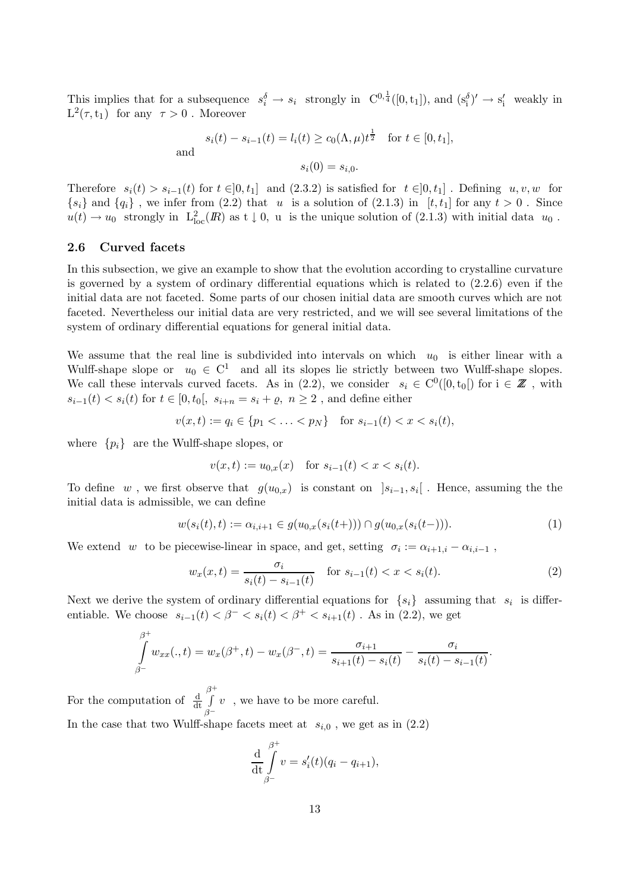This implies that for a subsequence  $s_i^{\delta} \to s_i$  strongly in  $C^{0,\frac{1}{4}}([0,t_1])$ , and  $(s_i^{\delta})' \to s_i'$  weakly in  $L^2(\tau,t_1)$  for any  $\tau > 0$ . Moreover

$$
s_i(t) - s_{i-1}(t) = l_i(t) \ge c_0(\Lambda, \mu)t^{\frac{1}{2}}
$$
 for  $t \in [0, t_1]$ ,  
and  
 $s_i(0) = s_{i,0}$ .

Therefore  $s_i(t) > s_{i-1}(t)$  for  $t \in ]0, t_1]$  and  $(2.3.2)$  is satisfied for  $t \in ]0, t_1]$ . Defining  $u, v, w$  for  ${s_i}$  and  ${q_i}$ , we infer from (2.2) that u is a solution of (2.1.3) in [t, t<sub>1</sub>] for any  $t > 0$ . Since  $u(t) \to u_0$  strongly in  $L^2_{loc}(I\!\! R)$  as  $t \downarrow 0$ , u is the unique solution of (2.1.3) with initial data  $u_0$ .

## 2.6 Curved facets

In this subsection, we give an example to show that the evolution according to crystalline curvature is governed by a system of ordinary differential equations which is related to (2.2.6) even if the initial data are not faceted. Some parts of our chosen initial data are smooth curves which are not faceted. Nevertheless our initial data are very restricted, and we will see several limitations of the system of ordinary differential equations for general initial data.

We assume that the real line is subdivided into intervals on which  $u_0$  is either linear with a Wulff-shape slope or  $u_0 \in C^1$  and all its slopes lie strictly between two Wulff-shape slopes. We call these intervals curved facets. As in (2.2), we consider  $s_i \in C^0([0, t_0])$  for  $i \in \mathbb{Z}$ , with  $s_{i-1}(t) < s_i(t)$  for  $t \in [0, t_0], s_{i+n} = s_i + \varrho, n \geq 2$ , and define either

$$
v(x,t) := q_i \in \{p_1 < \ldots < p_N\} \quad \text{for } s_{i-1}(t) < x < s_i(t),
$$

where  $\{p_i\}$  are the Wulff-shape slopes, or

$$
v(x,t) := u_{0,x}(x) \quad \text{for } s_{i-1}(t) < x < s_i(t).
$$

To define w, we first observe that  $g(u_{0,x})$  is constant on  $]s_{i-1}, s_i[$ . Hence, assuming the the initial data is admissible, we can define

$$
w(s_i(t),t) := \alpha_{i,i+1} \in g(u_{0,x}(s_i(t+))) \cap g(u_{0,x}(s_i(t-))).
$$
\n(1)

We extend w to be piecewise-linear in space, and get, setting  $\sigma_i := \alpha_{i+1,i} - \alpha_{i,i-1}$ ,

$$
w_x(x,t) = \frac{\sigma_i}{s_i(t) - s_{i-1}(t)} \quad \text{for } s_{i-1}(t) < x < s_i(t). \tag{2}
$$

.

Next we derive the system of ordinary differential equations for  $\{s_i\}$  assuming that  $s_i$  is differentiable. We choose  $s_{i-1}(t) < \beta^- < s_i(t) < \beta^+ < s_{i+1}(t)$ . As in (2.2), we get

$$
\int_{\beta^{-}}^{\beta^{+}} w_{xx}(.,t) = w_{x}(\beta^{+},t) - w_{x}(\beta^{-},t) = \frac{\sigma_{i+1}}{s_{i+1}(t) - s_{i}(t)} - \frac{\sigma_{i}}{s_{i}(t) - s_{i-1}(t)}
$$

For the computation of  $\frac{d}{dt}$  $\beta^+$ R  $\check{\beta^-}$  $v$ , we have to be more careful. In the case that two Wulff-shape facets meet at  $s_{i,0}$ , we get as in (2.2)

$$
\frac{\mathrm{d}}{\mathrm{d}t} \int\limits_{\beta^-}^{\beta^+} v = s'_i(t)(q_i - q_{i+1}),
$$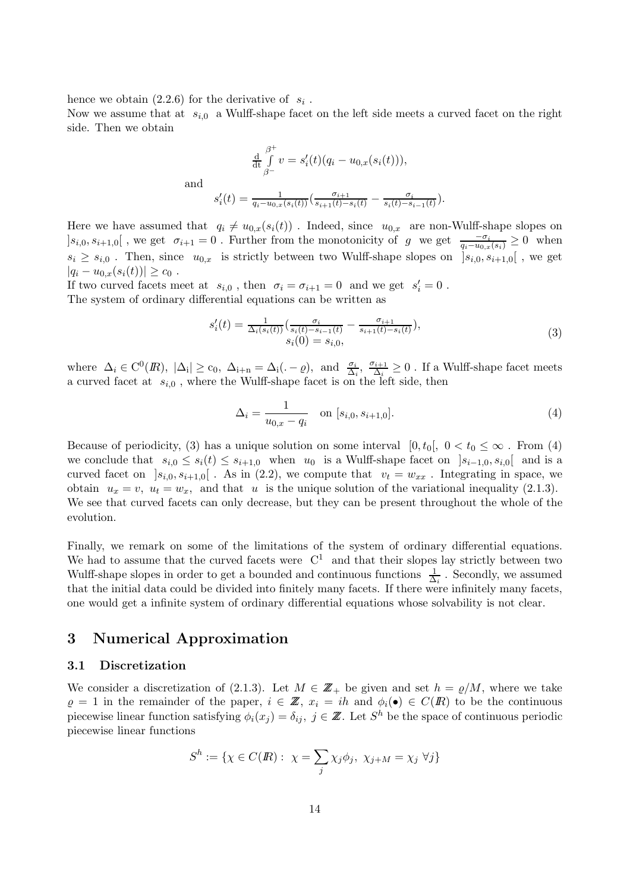hence we obtain  $(2.2.6)$  for the derivative of  $s_i$ .

Now we assume that at  $s_{i,0}$  a Wulff-shape facet on the left side meets a curved facet on the right side. Then we obtain

$$
\frac{\mathrm{d}}{\mathrm{d}t} \int_{\beta^-}^{\beta^+} v = s'_i(t)(q_i - u_{0,x}(s_i(t))),
$$
\n
$$
s'_i(t) = \frac{1}{q_i - u_{0,x}(s_i(t))} \left( \frac{\sigma_{i+1}}{s_{i+1}(t) - s_i(t)} - \frac{\sigma_i}{s_i(t) - s_{i-1}(t)} \right).
$$

Here we have assumed that  $q_i \neq u_{0,x}(s_i(t))$ . Indeed, since  $u_{0,x}$  are non-Wulff-shape slopes on  $[s_{i,0}, s_{i+1,0}]$ , we get  $\sigma_{i+1} = 0$ . Further from the monotonicity of g we get  $\frac{-\sigma_i}{q_i - u_{0,x}(s_i)} \geq 0$  when  $s_i \geq s_{i,0}$ . Then, since  $u_{0,x}$  is strictly between two Wulff-shape slopes on  $[s_{i,0}, s_{i+1,0}]$ , we get  $|q_i - u_{0,x}(s_i(t))| \geq c_0$ .

If two curved facets meet at  $s_{i,0}$ , then  $\sigma_i = \sigma_{i+1} = 0$  and we get  $s'_i = 0$ . The system of ordinary differential equations can be written as

$$
s'_{i}(t) = \frac{1}{\Delta_{i}(s_{i}(t))} \left( \frac{\sigma_{i}}{s_{i}(t) - s_{i-1}(t)} - \frac{\sigma_{i+1}}{s_{i+1}(t) - s_{i}(t)} \right),
$$
  
\n
$$
s_{i}(0) = s_{i,0},
$$
\n(3)

where  $\Delta_i \in C^0(\mathbb{R}), |\Delta_i| \ge c_0, \ \Delta_{i+n} = \Delta_i(.-\varrho), \text{ and } \frac{\sigma_i}{\Delta_i}, \ \frac{\sigma_{i+1}}{\Delta_i}$  $\frac{N_i+1}{\Delta_i}$  ≥ 0. If a Wulff-shape facet meets a curved facet at  $s_{i,0}$ , where the Wulff-shape facet is on the left side, then

$$
\Delta_i = \frac{1}{u_{0,x} - q_i} \quad \text{on } [s_{i,0}, s_{i+1,0}]. \tag{4}
$$

Because of periodicity, (3) has a unique solution on some interval  $[0, t_0], 0 < t_0 \leq \infty$ . From (4) we conclude that  $s_{i,0} \leq s_i(t) \leq s_{i+1,0}$  when  $u_0$  is a Wulff-shape facet on  $|s_{i-1,0}, s_{i,0}|$  and is a curved facet on  $]s_{i,0}, s_{i+1,0}[$ . As in (2.2), we compute that  $v_t = w_{xx}$ . Integrating in space, we obtain  $u_x = v$ ,  $u_t = w_x$ , and that u is the unique solution of the variational inequality (2.1.3). We see that curved facets can only decrease, but they can be present throughout the whole of the evolution.

Finally, we remark on some of the limitations of the system of ordinary differential equations. We had to assume that the curved facets were  $C^1$  and that their slopes lay strictly between two Wulff-shape slopes in order to get a bounded and continuous functions  $\frac{1}{\Delta_i}$ . Secondly, we assumed that the initial data could be divided into finitely many facets. If there were infinitely many facets, one would get a infinite system of ordinary differential equations whose solvability is not clear.

# 3 Numerical Approximation

## 3.1 Discretization

We consider a discretization of (2.1.3). Let  $M \in \mathbb{Z}_+$  be given and set  $h = \rho/M$ , where we take  $\varrho = 1$  in the remainder of the paper,  $i \in \mathbb{Z}$ ,  $x_i = ih$  and  $\phi_i(\bullet) \in C(\mathbb{R})$  to be the continuous piecewise linear function satisfying  $\phi_i(x_j) = \delta_{ij}$ ,  $j \in \mathbb{Z}$ . Let  $S^h$  be the space of continuous periodic piecewise linear functions

$$
S^h := \{ \chi \in C(\mathbb{R}) : \ \chi = \sum_j \chi_j \phi_j, \ \chi_{j+M} = \chi_j \ \forall j \}
$$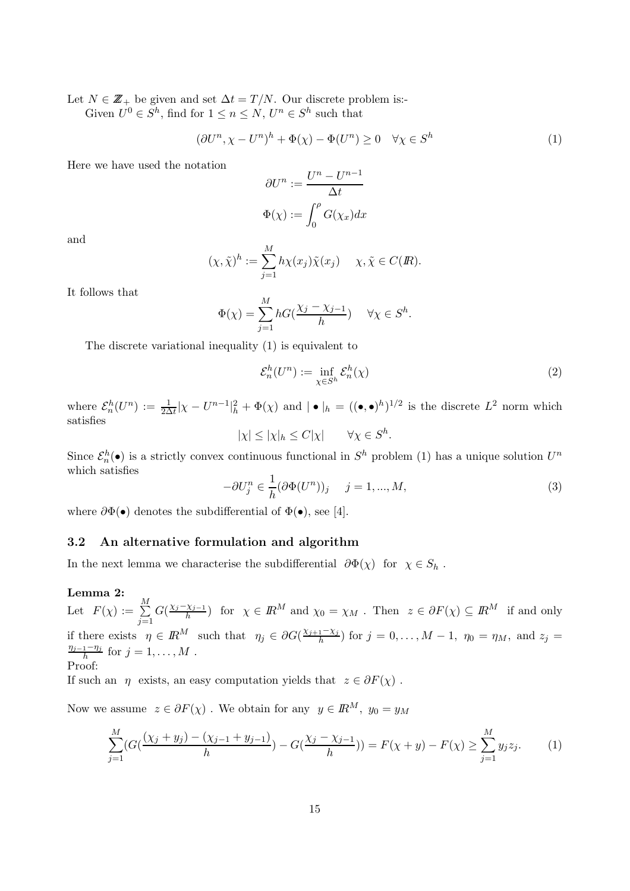Let  $N \in \mathbb{Z}_+$  be given and set  $\Delta t = T/N$ . Our discrete problem is:-

Given  $U^0 \in S^h$ , find for  $1 \leq n \leq N$ ,  $U^n \in S^h$  such that

$$
(\partial U^n, \chi - U^n)^h + \Phi(\chi) - \Phi(U^n) \ge 0 \quad \forall \chi \in S^h \tag{1}
$$

Here we have used the notation

$$
\partial U^n := \frac{U^n - U^{n-1}}{\Delta t}
$$

$$
\Phi(\chi) := \int_0^\rho G(\chi_x) dx
$$

and

$$
(\chi, \tilde{\chi})^h := \sum_{j=1}^M h \chi(x_j) \tilde{\chi}(x_j) \quad \chi, \tilde{\chi} \in C(\mathbb{R}).
$$

It follows that

$$
\Phi(\chi) = \sum_{j=1}^{M} hG(\frac{\chi_j - \chi_{j-1}}{h}) \quad \forall \chi \in S^h.
$$

The discrete variational inequality (1) is equivalent to

$$
\mathcal{E}_n^h(U^n) := \inf_{\chi \in S^h} \mathcal{E}_n^h(\chi) \tag{2}
$$

where  $\mathcal{E}_n^h(U^n) := \frac{1}{2\Delta t} |\chi - U^{n-1}|_h^2 + \Phi(\chi)$  and  $| \bullet |_h = ((\bullet, \bullet)^h)^{1/2}$  is the discrete  $L^2$  norm which satisfies

 $|\chi| \le |\chi|_h \le C|\chi| \quad \forall \chi \in S^h.$ 

Since  $\mathcal{E}_n^h(\bullet)$  is a strictly convex continuous functional in  $S^h$  problem (1) has a unique solution  $U^n$ which satisfies

$$
-\partial U_j^n \in \frac{1}{h} (\partial \Phi(U^n))_j \quad j = 1, ..., M,
$$
\n(3)

where  $\partial \Phi(\bullet)$  denotes the subdifferential of  $\Phi(\bullet)$ , see [4].

## 3.2 An alternative formulation and algorithm

In the next lemma we characterise the subdifferential  $\partial \Phi(\chi)$  for  $\chi \in S_h$ .

### Lemma 2:

Let  $F(\chi) := \frac{M}{\sum_{i=1}^{M}}$  $j=1$  $G(\frac{\chi_j-\chi_{j-1}}{h})$  for  $\chi \in \mathbb{R}^M$  and  $\chi_0 = \chi_M$ . Then  $z \in \partial F(\chi) \subseteq \mathbb{R}^M$  if and only if there exists  $\eta \in \mathbb{R}^M$  such that  $\eta_j \in \partial G(\frac{\chi_{j+1}-\chi_j}{h})$  for  $j=0,\ldots,M-1$ ,  $\eta_0=\eta_M$ , and  $z_j=$  $\frac{\eta_{j-1}-\eta_j}{h}$  for  $j=1,\ldots,M$ . Proof:

If such an  $\eta$  exists, an easy computation yields that  $z \in \partial F(\chi)$ .

Now we assume  $z \in \partial F(\chi)$ . We obtain for any  $y \in \mathbb{R}^M$ ,  $y_0 = y_M$ 

$$
\sum_{j=1}^{M} \left( G\left( \frac{(\chi_j + y_j) - (\chi_{j-1} + y_{j-1})}{h} \right) - G\left( \frac{\chi_j - \chi_{j-1}}{h} \right) \right) = F(\chi + y) - F(\chi) \ge \sum_{j=1}^{M} y_j z_j.
$$
 (1)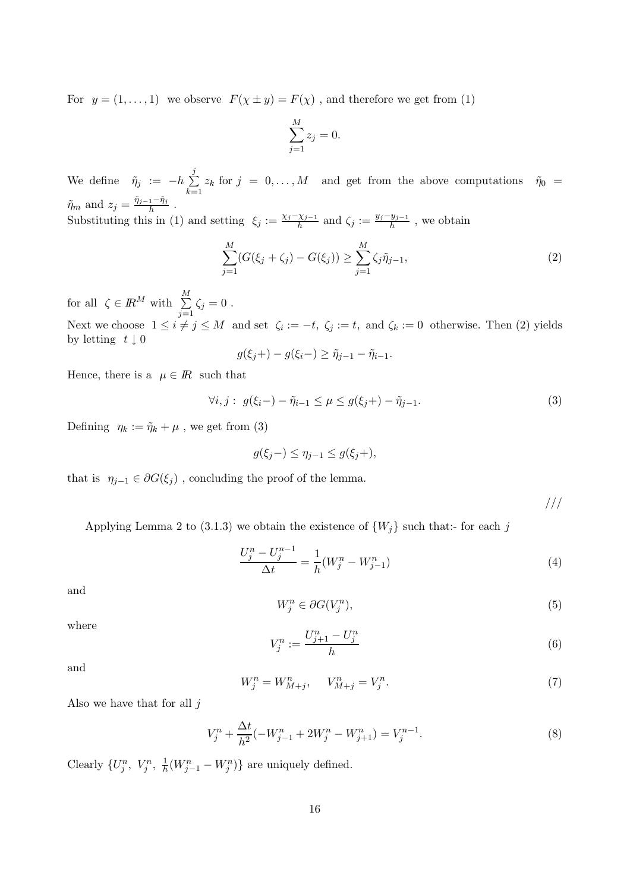For  $y = (1, ..., 1)$  we observe  $F(\chi \pm y) = F(\chi)$ , and therefore we get from (1)

$$
\sum_{j=1}^{M} z_j = 0.
$$

We define  $\tilde{\eta}_j := -h \sum_{j=1}^{\infty}$ j  $\sum_{k=1} z_k$  for  $j = 0, ..., M$  and get from the above computations  $\tilde{\eta}_0 =$  $\tilde{\eta}_m$  and  $z_j = \frac{\tilde{\eta}_{j-1} - \tilde{\eta}_j}{h}$ .

Substituting this in (1) and setting  $\xi_j := \frac{\chi_j - \chi_{j-1}}{h}$  and  $\zeta_j := \frac{y_j - y_{j-1}}{h}$ , we obtain

$$
\sum_{j=1}^{M} (G(\xi_j + \zeta_j) - G(\xi_j)) \ge \sum_{j=1}^{M} \zeta_j \tilde{\eta}_{j-1},
$$
\n(2)

for all  $\zeta \in \mathbb{R}^M$  with  $\sum_{n=1}^M$  $\sum_{j=1} \zeta_j = 0$ . Next we choose  $1 \leq i \neq j \leq M$  and set  $\zeta_i := -t$ ,  $\zeta_j := t$ , and  $\zeta_k := 0$  otherwise. Then (2) yields by letting  $t \downarrow 0$ 

$$
g(\xi_j+) - g(\xi_i-) \ge \tilde{\eta}_{j-1} - \tilde{\eta}_{i-1}.
$$

Hence, there is a  $\mu \in \mathbb{R}$  such that

$$
\forall i, j: \ g(\xi_i-) - \tilde{\eta}_{i-1} \le \mu \le g(\xi_j+) - \tilde{\eta}_{j-1}.
$$
 (3)

Defining  $\eta_k := \tilde{\eta}_k + \mu$ , we get from (3)

$$
g(\xi_j-) \le \eta_{j-1} \le g(\xi_j+),
$$

that is  $\eta_{j-1} \in \partial G(\xi_j)$ , concluding the proof of the lemma.

///

Applying Lemma 2 to (3.1.3) we obtain the existence of  $\{W_j\}$  such that:- for each j

$$
\frac{U_j^n - U_j^{n-1}}{\Delta t} = \frac{1}{h}(W_j^n - W_{j-1}^n)
$$
\n(4)

and

$$
W_j^n \in \partial G(V_j^n),\tag{5}
$$

where

$$
V_j^n := \frac{U_{j+1}^n - U_j^n}{h} \tag{6}
$$

and

$$
W_j^n = W_{M+j}^n, \t V_{M+j}^n = V_j^n. \t\t(7)
$$

Also we have that for all  $j$ 

$$
V_j^n + \frac{\Delta t}{h^2}(-W_{j-1}^n + 2W_j^n - W_{j+1}^n) = V_j^{n-1}.
$$
\n(8)

Clearly  $\{U_j^n, V_j^n, \frac{1}{h}\}$  $\frac{1}{h}(W_{j-1}^n - W_j^n)\}$  are uniquely defined.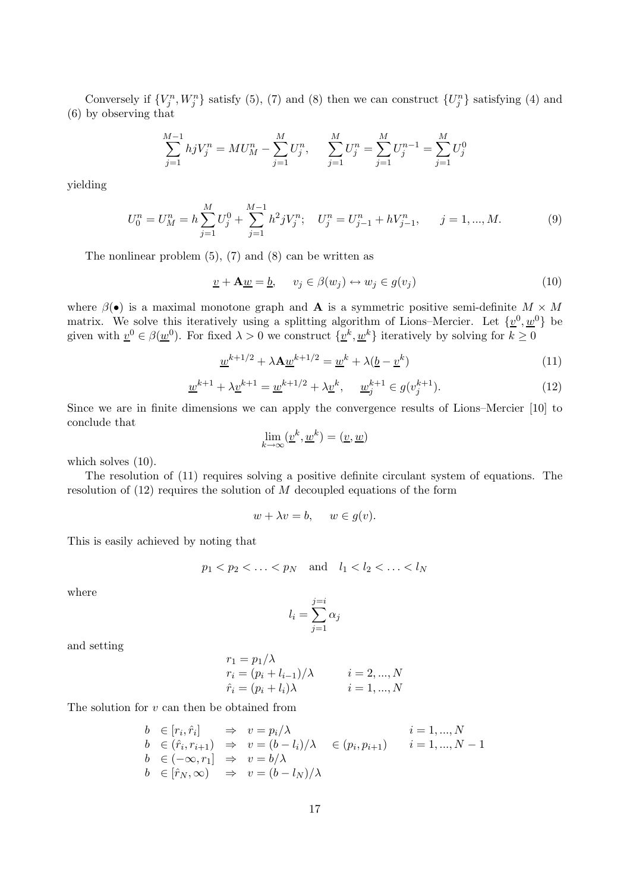Conversely if  $\{V_j^n, W_j^n\}$  satisfy (5), (7) and (8) then we can construct  $\{U_j^n\}$  satisfying (4) and (6) by observing that

$$
\sum_{j=1}^{M-1} hjV_j^n = MU_M^n - \sum_{j=1}^M U_j^n, \quad \sum_{j=1}^M U_j^n = \sum_{j=1}^M U_j^{n-1} = \sum_{j=1}^M U_j^0
$$

yielding

$$
U_0^n = U_M^n = h \sum_{j=1}^M U_j^0 + \sum_{j=1}^{M-1} h^2 j V_j^n; \quad U_j^n = U_{j-1}^n + h V_{j-1}^n, \qquad j = 1, ..., M. \tag{9}
$$

The nonlinear problem  $(5)$ ,  $(7)$  and  $(8)$  can be written as

$$
\underline{v} + \mathbf{A}\underline{w} = \underline{b}, \qquad v_j \in \beta(w_j) \leftrightarrow w_j \in g(v_j)
$$
\n<sup>(10)</sup>

where  $\beta(\bullet)$  is a maximal monotone graph and **A** is a symmetric positive semi-definite  $M \times M$ matrix. We solve this iteratively using a splitting algorithm of Lions–Mercier. Let  $\{\underline{v}^0, \underline{w}^0\}$  be given with  $\underline{v}^0 \in \beta(\underline{w}^0)$ . For fixed  $\lambda > 0$  we construct  $\{\underline{v}^k, \underline{w}^k\}$  iteratively by solving for  $k \ge 0$ 

$$
\underline{w}^{k+1/2} + \lambda \mathbf{A} \underline{w}^{k+1/2} = \underline{w}^k + \lambda (\underline{b} - \underline{v}^k)
$$
\n(11)

$$
\underline{w}^{k+1} + \lambda \underline{v}^{k+1} = \underline{w}^{k+1/2} + \lambda \underline{v}^k, \quad \underline{w}_j^{k+1} \in g(v_j^{k+1}). \tag{12}
$$

Since we are in finite dimensions we can apply the convergence results of Lions–Mercier [10] to conclude that

$$
\lim_{k \to \infty} (\underline{v}^k, \underline{w}^k) = (\underline{v}, \underline{w})
$$

which solves  $(10)$ .

The resolution of (11) requires solving a positive definite circulant system of equations. The resolution of  $(12)$  requires the solution of M decoupled equations of the form

$$
w + \lambda v = b, \quad w \in g(v).
$$

This is easily achieved by noting that

$$
p_1 < p_2 < \ldots < p_N
$$
 and  $l_1 < l_2 < \ldots < l_N$ 

where

$$
l_i = \sum_{j=1}^{j=i} \alpha_j
$$

and setting

$$
r_1 = p_1/\lambda
$$
  
\n
$$
r_i = (p_i + l_{i-1})/\lambda
$$
  
\n
$$
\hat{r}_i = (p_i + l_i)\lambda
$$
  
\n
$$
i = 2, ..., N
$$
  
\n
$$
i = 1, ..., N
$$

The solution for  $v$  can then be obtained from

$$
b \in [r_i, \hat{r}_i] \Rightarrow v = p_i/\lambda \qquad i = 1, ..., N
$$
  
\n
$$
b \in (\hat{r}_i, r_{i+1}) \Rightarrow v = (b - l_i)/\lambda \in (p_i, p_{i+1}) \qquad i = 1, ..., N - 1
$$
  
\n
$$
b \in (-\infty, r_1] \Rightarrow v = b/\lambda
$$
  
\n
$$
b \in [\hat{r}_N, \infty) \Rightarrow v = (b - l_N)/\lambda
$$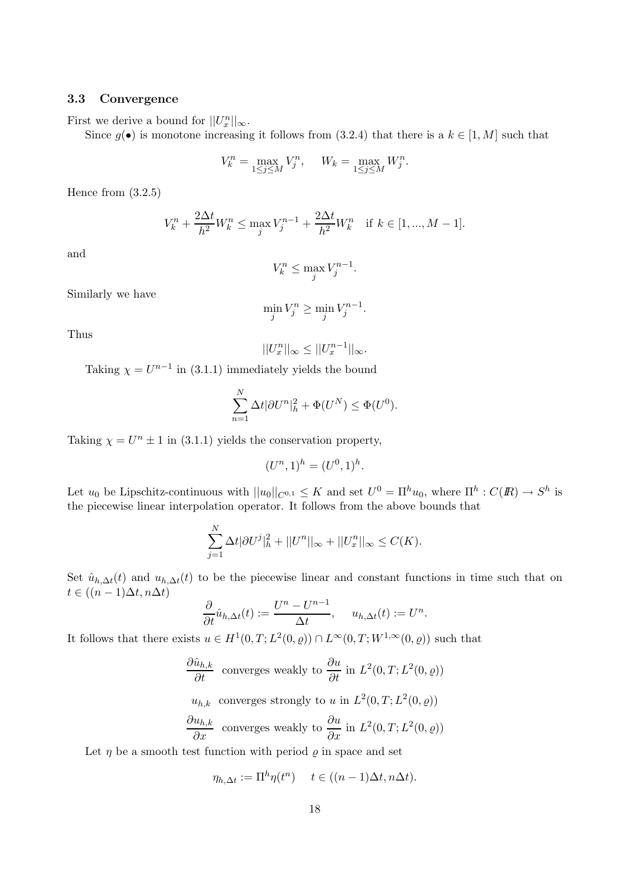## 3.3 Convergence

First we derive a bound for  $||U_x^n||_{\infty}$ .

Since  $g(\bullet)$  is monotone increasing it follows from (3.2.4) that there is a  $k \in [1, M]$  such that

$$
V_k^n = \max_{1 \le j \le M} V_j^n, \quad W_k = \max_{1 \le j \le M} W_j^n.
$$

Hence from (3.2.5)

$$
V_k^n + \frac{2\Delta t}{h^2} W_k^n \le \max_j V_j^{n-1} + \frac{2\Delta t}{h^2} W_k^n \quad \text{if } k \in [1, ..., M - 1].
$$

and

$$
V_k^n \le \max_j V_j^{n-1}.
$$

Similarly we have

$$
\min_j V_j^n \ge \min_j V_j^{n-1}.
$$

Thus

$$
||U_x^n||_{\infty} \le ||U_x^{n-1}||_{\infty}.
$$

Taking  $\chi = U^{n-1}$  in (3.1.1) immediately yields the bound

$$
\sum_{n=1}^{N} \Delta t |\partial U^{n}|_{h}^{2} + \Phi(U^{N}) \leq \Phi(U^{0}).
$$

Taking  $\chi = U^n \pm 1$  in (3.1.1) yields the conservation property,

$$
(U^n, 1)^h = (U^0, 1)^h.
$$

Let  $u_0$  be Lipschitz-continuous with  $||u_0||_{C^{0,1}} \leq K$  and set  $U^0 = \Pi^h u_0$ , where  $\Pi^h: C(R) \to S^h$  is the piecewise linear interpolation operator. It follows from the above bounds that

$$
\sum_{j=1}^{N} \Delta t |\partial U^{j}|_{h}^{2} + ||U^{n}||_{\infty} + ||U^{n}_{x}||_{\infty} \leq C(K).
$$

Set  $\hat{u}_{h,\Delta t}(t)$  and  $u_{h,\Delta t}(t)$  to be the piecewise linear and constant functions in time such that on  $t \in ((n-1)\Delta t, n\Delta t)$ 

$$
\frac{\partial}{\partial t}\hat{u}_{h,\Delta t}(t) := \frac{U^n - U^{n-1}}{\Delta t}, \quad u_{h,\Delta t}(t) := U^n.
$$

It follows that there exists  $u \in H^1(0,T; L^2(0, \varrho)) \cap L^{\infty}(0,T; W^{1,\infty}(0, \varrho))$  such that

$$
\frac{\partial \hat{u}_{h,k}}{\partial t}
$$
 converges weakly to  $\frac{\partial u}{\partial t}$  in  $L^2(0,T; L^2(0,\rho))$ 

$$
u_{h,k}
$$
 converges strongly to u in  $L^2(0,T; L^2(0, \rho))$   
 $\frac{\partial u_{h,k}}{\partial x}$  converges weakly to  $\frac{\partial u}{\partial x}$  in  $L^2(0,T; L^2(0, \rho))$ 

Let  $\eta$  be a smooth test function with period  $\rho$  in space and set

$$
\eta_{h,\Delta t} := \Pi^h \eta(t^n) \quad t \in ((n-1)\Delta t, n\Delta t).
$$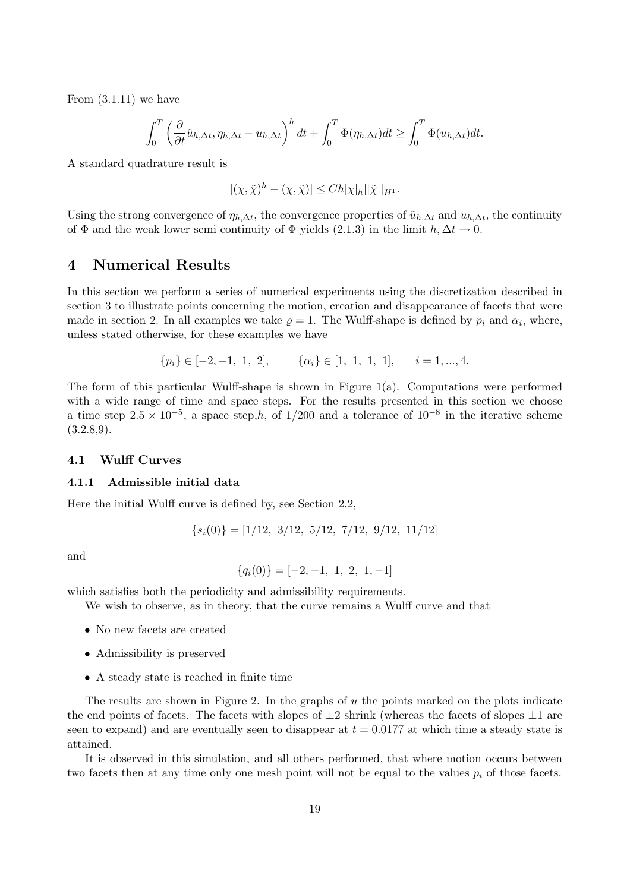From  $(3.1.11)$  we have

$$
\int_0^T \left(\frac{\partial}{\partial t}\hat{u}_{h,\Delta t}, \eta_{h,\Delta t} - u_{h,\Delta t}\right)^h dt + \int_0^T \Phi(\eta_{h,\Delta t}) dt \ge \int_0^T \Phi(u_{h,\Delta t}) dt.
$$

A standard quadrature result is

$$
|(\chi,\tilde{\chi})^h - (\chi,\tilde{\chi})| \le Ch|\chi|_h||\tilde{\chi}||_{H^1}.
$$

Using the strong convergence of  $\eta_{h,\Delta t}$ , the convergence properties of  $\tilde{u}_{h,\Delta t}$  and  $u_{h,\Delta t}$ , the continuity of  $\Phi$  and the weak lower semi continuity of  $\Phi$  yields (2.1.3) in the limit  $h, \Delta t \to 0$ .

# 4 Numerical Results

In this section we perform a series of numerical experiments using the discretization described in section 3 to illustrate points concerning the motion, creation and disappearance of facets that were made in section 2. In all examples we take  $\varrho = 1$ . The Wulff-shape is defined by  $p_i$  and  $\alpha_i$ , where, unless stated otherwise, for these examples we have

$$
{p_i} \in [-2, -1, 1, 2], \qquad {\alpha_i} \in [1, 1, 1, 1], \qquad i = 1, ..., 4.
$$

The form of this particular Wulff-shape is shown in Figure 1(a). Computations were performed with a wide range of time and space steps. For the results presented in this section we choose a time step  $2.5 \times 10^{-5}$ , a space step,h, of 1/200 and a tolerance of  $10^{-8}$  in the iterative scheme  $(3.2.8,9).$ 

## 4.1 Wulff Curves

### 4.1.1 Admissible initial data

Here the initial Wulff curve is defined by, see Section 2.2,

 ${s_i(0)} = [1/12, 3/12, 5/12, 7/12, 9/12, 11/12]$ 

and

$$
\{q_i(0)\} = [-2, -1, 1, 2, 1, -1]
$$

which satisfies both the periodicity and admissibility requirements.

We wish to observe, as in theory, that the curve remains a Wulff curve and that

- No new facets are created
- Admissibility is preserved
- A steady state is reached in finite time

The results are shown in Figure 2. In the graphs of u the points marked on the plots indicate the end points of facets. The facets with slopes of  $\pm 2$  shrink (whereas the facets of slopes  $\pm 1$  are seen to expand) and are eventually seen to disappear at  $t = 0.0177$  at which time a steady state is attained.

It is observed in this simulation, and all others performed, that where motion occurs between two facets then at any time only one mesh point will not be equal to the values  $p_i$  of those facets.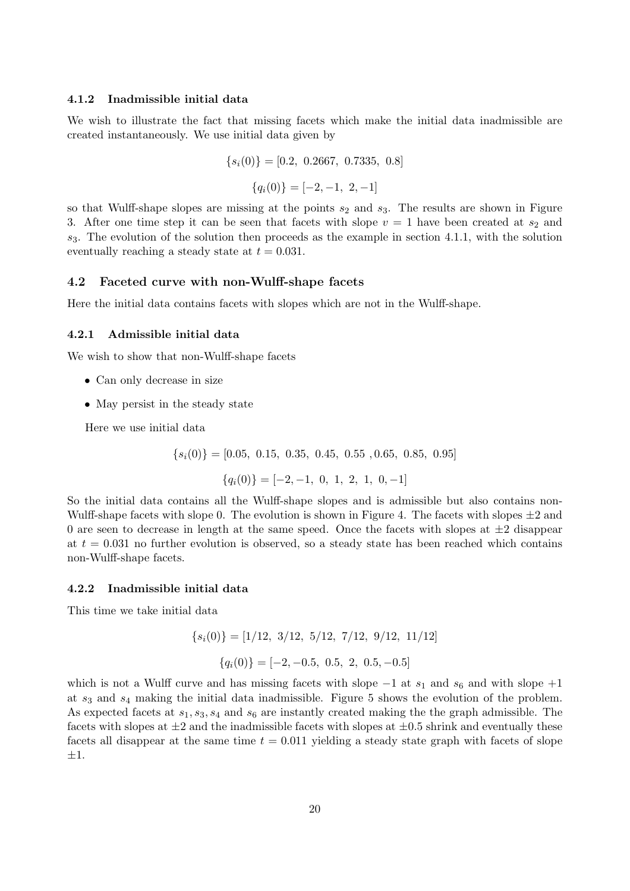#### 4.1.2 Inadmissible initial data

We wish to illustrate the fact that missing facets which make the initial data inadmissible are created instantaneously. We use initial data given by

$$
{si(0)} = [0.2, 0.2667, 0.7335, 0.8]
$$

$$
{qi(0)} = [-2, -1, 2, -1]
$$

so that Wulff-shape slopes are missing at the points  $s_2$  and  $s_3$ . The results are shown in Figure 3. After one time step it can be seen that facets with slope  $v = 1$  have been created at  $s_2$  and  $s_3$ . The evolution of the solution then proceeds as the example in section 4.1.1, with the solution eventually reaching a steady state at  $t = 0.031$ .

### 4.2 Faceted curve with non-Wulff-shape facets

Here the initial data contains facets with slopes which are not in the Wulff-shape.

#### 4.2.1 Admissible initial data

We wish to show that non-Wulff-shape facets

- Can only decrease in size
- May persist in the steady state

Here we use initial data

 ${s<sub>i</sub>(0)} = [0.05, 0.15, 0.35, 0.45, 0.55, 0.65, 0.85, 0.95]$ 

 ${q_i(0)} = [-2, -1, 0, 1, 2, 1, 0, -1]$ 

So the initial data contains all the Wulff-shape slopes and is admissible but also contains non-Wulff-shape facets with slope 0. The evolution is shown in Figure 4. The facets with slopes  $\pm 2$  and 0 are seen to decrease in length at the same speed. Once the facets with slopes at  $\pm 2$  disappear at  $t = 0.031$  no further evolution is observed, so a steady state has been reached which contains non-Wulff-shape facets.

### 4.2.2 Inadmissible initial data

This time we take initial data

$$
{si(0)} = [1/12, 3/12, 5/12, 7/12, 9/12, 11/12]
$$

$$
{qi(0)} = [-2, -0.5, 0.5, 2, 0.5, -0.5]
$$

which is not a Wulff curve and has missing facets with slope  $-1$  at  $s_1$  and  $s_6$  and with slope  $+1$ at  $s_3$  and  $s_4$  making the initial data inadmissible. Figure 5 shows the evolution of the problem. As expected facets at  $s_1, s_3, s_4$  and  $s_6$  are instantly created making the the graph admissible. The facets with slopes at  $\pm 2$  and the inadmissible facets with slopes at  $\pm 0.5$  shrink and eventually these facets all disappear at the same time  $t = 0.011$  yielding a steady state graph with facets of slope ±1.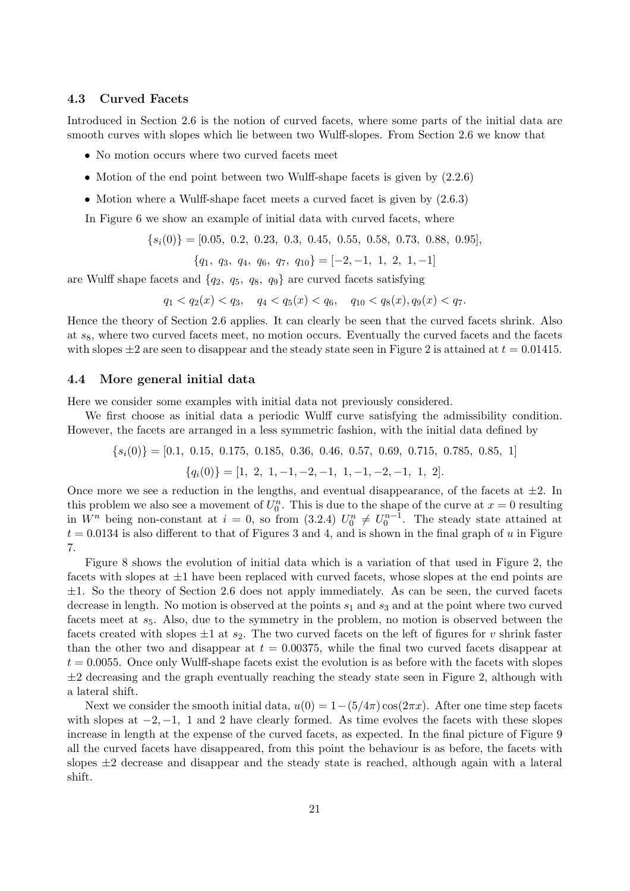## 4.3 Curved Facets

Introduced in Section 2.6 is the notion of curved facets, where some parts of the initial data are smooth curves with slopes which lie between two Wulff-slopes. From Section 2.6 we know that

- No motion occurs where two curved facets meet
- Motion of the end point between two Wulff-shape facets is given by  $(2.2.6)$
- Motion where a Wulff-shape facet meets a curved facet is given by  $(2.6.3)$

In Figure 6 we show an example of initial data with curved facets, where

 ${s_i(0)} = [0.05, 0.2, 0.23, 0.3, 0.45, 0.55, 0.58, 0.73, 0.88, 0.95],$ 

 ${q_1, q_3, q_4, q_6, q_7, q_{10}} = [-2, -1, 1, 2, 1, -1]$ 

are Wulff shape facets and  $\{q_2, q_5, q_8, q_9\}$  are curved facets satisfying

 $q_1 < q_2(x) < q_3, \quad q_4 < q_5(x) < q_6, \quad q_{10} < q_8(x), q_9(x) < q_7.$ 

Hence the theory of Section 2.6 applies. It can clearly be seen that the curved facets shrink. Also at  $s_8$ , where two curved facets meet, no motion occurs. Eventually the curved facets and the facets with slopes  $\pm 2$  are seen to disappear and the steady state seen in Figure 2 is attained at  $t = 0.01415$ .

#### 4.4 More general initial data

Here we consider some examples with initial data not previously considered.

We first choose as initial data a periodic Wulff curve satisfying the admissibility condition. However, the facets are arranged in a less symmetric fashion, with the initial data defined by

$$
{si(0)} = [0.1, 0.15, 0.175, 0.185, 0.36, 0.46, 0.57, 0.69, 0.715, 0.785, 0.85, 1]
$$

$$
{qi(0)} = [1, 2, 1, -1, -2, -1, 1, -1, -2, -1, 1, 2].
$$

Once more we see a reduction in the lengths, and eventual disappearance, of the facets at  $\pm 2$ . In this problem we also see a movement of  $U_0^n$ . This is due to the shape of the curve at  $x = 0$  resulting in  $W^n$  being non-constant at  $i = 0$ , so from  $(3.2.4)$   $U_0^n \neq U_0^{n-1}$ . The steady state attained at  $t = 0.0134$  is also different to that of Figures 3 and 4, and is shown in the final graph of u in Figure 7.

Figure 8 shows the evolution of initial data which is a variation of that used in Figure 2, the facets with slopes at  $\pm 1$  have been replaced with curved facets, whose slopes at the end points are  $\pm 1$ . So the theory of Section 2.6 does not apply immediately. As can be seen, the curved facets decrease in length. No motion is observed at the points  $s_1$  and  $s_3$  and at the point where two curved facets meet at  $s<sub>5</sub>$ . Also, due to the symmetry in the problem, no motion is observed between the facets created with slopes  $\pm 1$  at  $s_2$ . The two curved facets on the left of figures for v shrink faster than the other two and disappear at  $t = 0.00375$ , while the final two curved facets disappear at  $t = 0.0055$ . Once only Wulff-shape facets exist the evolution is as before with the facets with slopes  $\pm 2$  decreasing and the graph eventually reaching the steady state seen in Figure 2, although with a lateral shift.

Next we consider the smooth initial data,  $u(0) = 1-(5/4\pi)\cos(2\pi x)$ . After one time step facets with slopes at  $-2$ ,  $-1$ , 1 and 2 have clearly formed. As time evolves the facets with these slopes increase in length at the expense of the curved facets, as expected. In the final picture of Figure 9 all the curved facets have disappeared, from this point the behaviour is as before, the facets with slopes  $\pm 2$  decrease and disappear and the steady state is reached, although again with a lateral shift.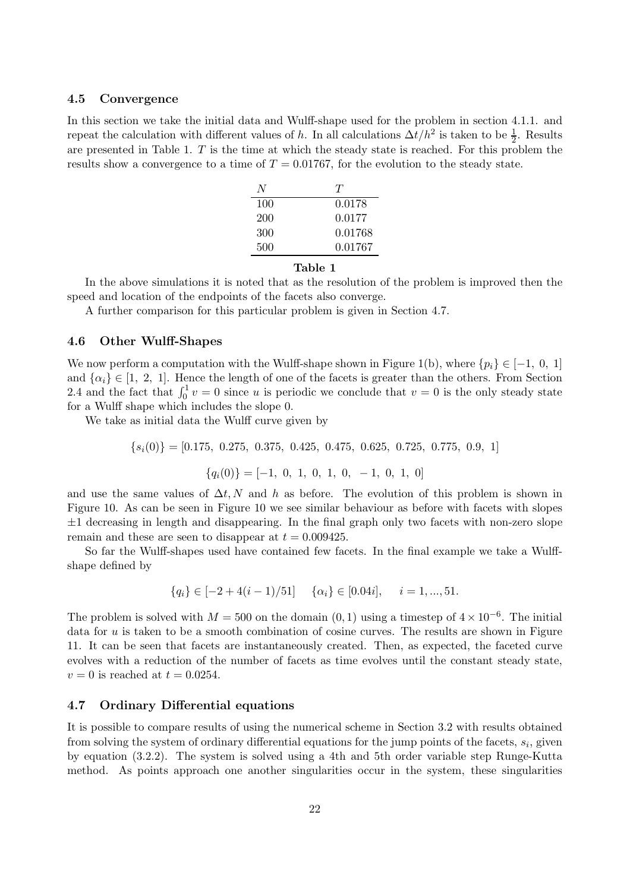### 4.5 Convergence

In this section we take the initial data and Wulff-shape used for the problem in section 4.1.1. and repeat the calculation with different values of h. In all calculations  $\Delta t/h^2$  is taken to be  $\frac{1}{2}$ . Results are presented in Table 1.  $T$  is the time at which the steady state is reached. For this problem the results show a convergence to a time of  $T = 0.01767$ , for the evolution to the steady state.

| N.  | Ŧ       |
|-----|---------|
| 100 | 0.0178  |
| 200 | 0.0177  |
| 300 | 0.01768 |
| 500 | 0.01767 |

## Table 1

In the above simulations it is noted that as the resolution of the problem is improved then the speed and location of the endpoints of the facets also converge.

A further comparison for this particular problem is given in Section 4.7.

## 4.6 Other Wulff-Shapes

We now perform a computation with the Wulff-shape shown in Figure 1(b), where  $\{p_i\} \in [-1, 0, 1]$ and  $\{\alpha_i\} \in [1, 2, 1]$ . Hence the length of one of the facets is greater than the others. From Section 2.4 and the fact that  $\int_0^1 v = 0$  since u is periodic we conclude that  $v = 0$  is the only steady state for a Wulff shape which includes the slope 0.

We take as initial data the Wulff curve given by

$$
\{s_i(0)\} = [0.175, 0.275, 0.375, 0.425, 0.475, 0.625, 0.725, 0.775, 0.9, 1]
$$

$$
\{q_i(0)\} = [-1, 0, 1, 0, 1, 0, -1, 0, 1, 0]
$$

and use the same values of  $\Delta t$ , N and h as before. The evolution of this problem is shown in Figure 10. As can be seen in Figure 10 we see similar behaviour as before with facets with slopes  $\pm 1$  decreasing in length and disappearing. In the final graph only two facets with non-zero slope remain and these are seen to disappear at  $t = 0.009425$ .

So far the Wulff-shapes used have contained few facets. In the final example we take a Wulffshape defined by

$$
\{q_i\} \in [-2 + 4(i - 1)/51] \quad \{\alpha_i\} \in [0.04i], \quad i = 1, ..., 51.
$$

The problem is solved with  $M = 500$  on the domain  $(0, 1)$  using a timestep of  $4 \times 10^{-6}$ . The initial data for  $u$  is taken to be a smooth combination of cosine curves. The results are shown in Figure 11. It can be seen that facets are instantaneously created. Then, as expected, the faceted curve evolves with a reduction of the number of facets as time evolves until the constant steady state,  $v = 0$  is reached at  $t = 0.0254$ .

## 4.7 Ordinary Differential equations

It is possible to compare results of using the numerical scheme in Section 3.2 with results obtained from solving the system of ordinary differential equations for the jump points of the facets,  $s_i$ , given by equation (3.2.2). The system is solved using a 4th and 5th order variable step Runge-Kutta method. As points approach one another singularities occur in the system, these singularities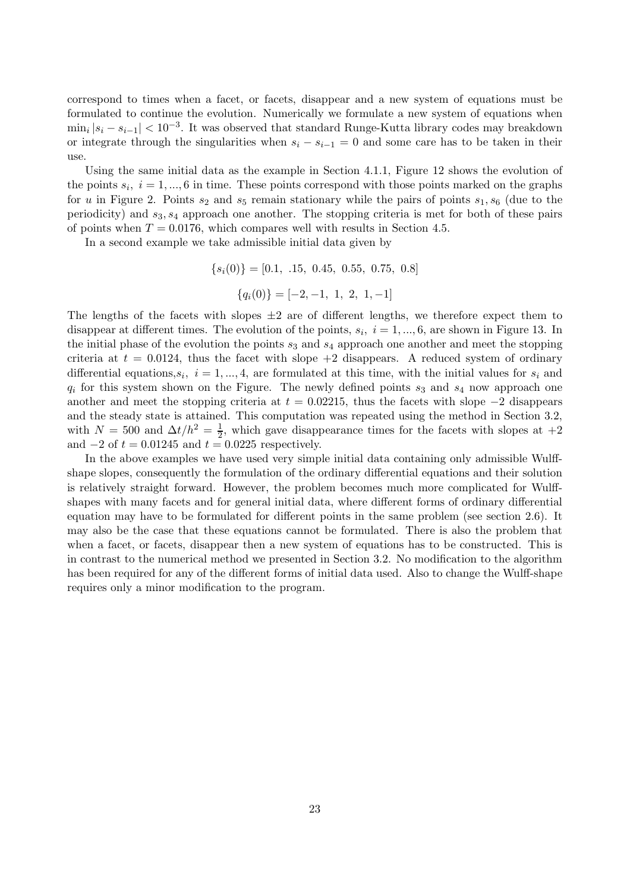correspond to times when a facet, or facets, disappear and a new system of equations must be formulated to continue the evolution. Numerically we formulate a new system of equations when  $\min_i |s_i - s_{i-1}| < 10^{-3}$ . It was observed that standard Runge-Kutta library codes may breakdown or integrate through the singularities when  $s_i - s_{i-1} = 0$  and some care has to be taken in their use.

Using the same initial data as the example in Section 4.1.1, Figure 12 shows the evolution of the points  $s_i$ ,  $i = 1, ..., 6$  in time. These points correspond with those points marked on the graphs for u in Figure 2. Points  $s_2$  and  $s_5$  remain stationary while the pairs of points  $s_1, s_6$  (due to the periodicity) and  $s_3$ ,  $s_4$  approach one another. The stopping criteria is met for both of these pairs of points when  $T = 0.0176$ , which compares well with results in Section 4.5.

In a second example we take admissible initial data given by

 ${s<sub>i</sub>(0)} = [0.1, .15, 0.45, 0.55, 0.75, 0.8]$  ${q_i(0)} = [-2, -1, 1, 2, 1, -1]$ 

The lengths of the facets with slopes  $\pm 2$  are of different lengths, we therefore expect them to disappear at different times. The evolution of the points,  $s_i$ ,  $i = 1, ..., 6$ , are shown in Figure 13. In the initial phase of the evolution the points  $s_3$  and  $s_4$  approach one another and meet the stopping criteria at  $t = 0.0124$ , thus the facet with slope  $+2$  disappears. A reduced system of ordinary differential equations,  $s_i$ ,  $i = 1, ..., 4$ , are formulated at this time, with the initial values for  $s_i$  and  $q_i$  for this system shown on the Figure. The newly defined points  $s_3$  and  $s_4$  now approach one another and meet the stopping criteria at  $t = 0.02215$ , thus the facets with slope  $-2$  disappears and the steady state is attained. This computation was repeated using the method in Section 3.2, with  $N = 500$  and  $\Delta t/h^2 = \frac{1}{2}$  $\frac{1}{2}$ , which gave disappearance times for the facets with slopes at  $+2$ and  $-2$  of  $t = 0.01245$  and  $t = 0.0225$  respectively.

In the above examples we have used very simple initial data containing only admissible Wulffshape slopes, consequently the formulation of the ordinary differential equations and their solution is relatively straight forward. However, the problem becomes much more complicated for Wulffshapes with many facets and for general initial data, where different forms of ordinary differential equation may have to be formulated for different points in the same problem (see section 2.6). It may also be the case that these equations cannot be formulated. There is also the problem that when a facet, or facets, disappear then a new system of equations has to be constructed. This is in contrast to the numerical method we presented in Section 3.2. No modification to the algorithm has been required for any of the different forms of initial data used. Also to change the Wulff-shape requires only a minor modification to the program.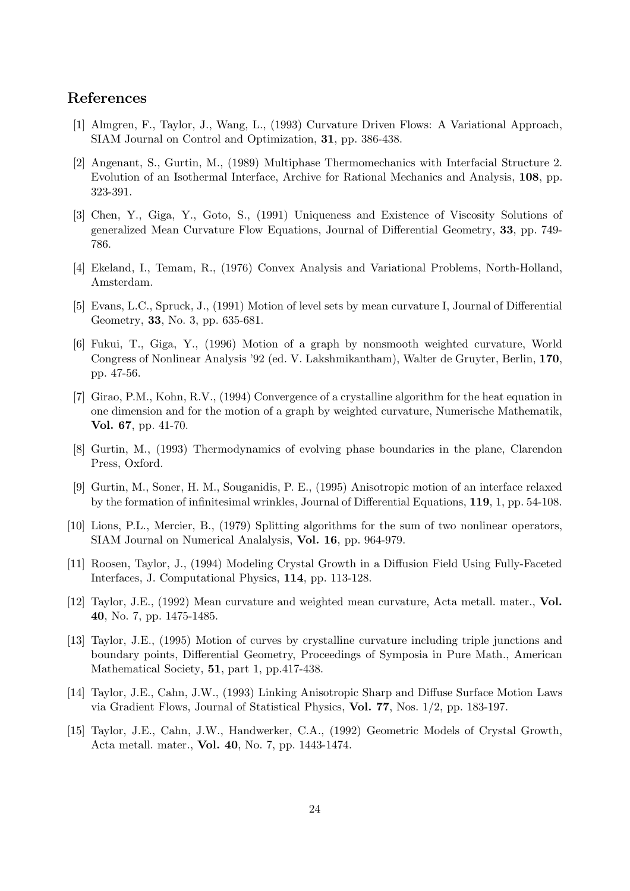# References

- [1] Almgren, F., Taylor, J., Wang, L., (1993) Curvature Driven Flows: A Variational Approach, SIAM Journal on Control and Optimization, 31, pp. 386-438.
- [2] Angenant, S., Gurtin, M., (1989) Multiphase Thermomechanics with Interfacial Structure 2. Evolution of an Isothermal Interface, Archive for Rational Mechanics and Analysis, 108, pp. 323-391.
- [3] Chen, Y., Giga, Y., Goto, S., (1991) Uniqueness and Existence of Viscosity Solutions of generalized Mean Curvature Flow Equations, Journal of Differential Geometry, 33, pp. 749- 786.
- [4] Ekeland, I., Temam, R., (1976) Convex Analysis and Variational Problems, North-Holland, Amsterdam.
- [5] Evans, L.C., Spruck, J., (1991) Motion of level sets by mean curvature I, Journal of Differential Geometry, 33, No. 3, pp. 635-681.
- [6] Fukui, T., Giga, Y., (1996) Motion of a graph by nonsmooth weighted curvature, World Congress of Nonlinear Analysis '92 (ed. V. Lakshmikantham), Walter de Gruyter, Berlin, 170, pp. 47-56.
- [7] Girao, P.M., Kohn, R.V., (1994) Convergence of a crystalline algorithm for the heat equation in one dimension and for the motion of a graph by weighted curvature, Numerische Mathematik, Vol. 67, pp. 41-70.
- [8] Gurtin, M., (1993) Thermodynamics of evolving phase boundaries in the plane, Clarendon Press, Oxford.
- [9] Gurtin, M., Soner, H. M., Souganidis, P. E., (1995) Anisotropic motion of an interface relaxed by the formation of infinitesimal wrinkles, Journal of Differential Equations, 119, 1, pp. 54-108.
- [10] Lions, P.L., Mercier, B., (1979) Splitting algorithms for the sum of two nonlinear operators, SIAM Journal on Numerical Analalysis, Vol. 16, pp. 964-979.
- [11] Roosen, Taylor, J., (1994) Modeling Crystal Growth in a Diffusion Field Using Fully-Faceted Interfaces, J. Computational Physics, 114, pp. 113-128.
- [12] Taylor, J.E., (1992) Mean curvature and weighted mean curvature, Acta metall. mater., Vol. 40, No. 7, pp. 1475-1485.
- [13] Taylor, J.E., (1995) Motion of curves by crystalline curvature including triple junctions and boundary points, Differential Geometry, Proceedings of Symposia in Pure Math., American Mathematical Society, 51, part 1, pp.417-438.
- [14] Taylor, J.E., Cahn, J.W., (1993) Linking Anisotropic Sharp and Diffuse Surface Motion Laws via Gradient Flows, Journal of Statistical Physics, Vol. 77, Nos. 1/2, pp. 183-197.
- [15] Taylor, J.E., Cahn, J.W., Handwerker, C.A., (1992) Geometric Models of Crystal Growth, Acta metall. mater., Vol. 40, No. 7, pp. 1443-1474.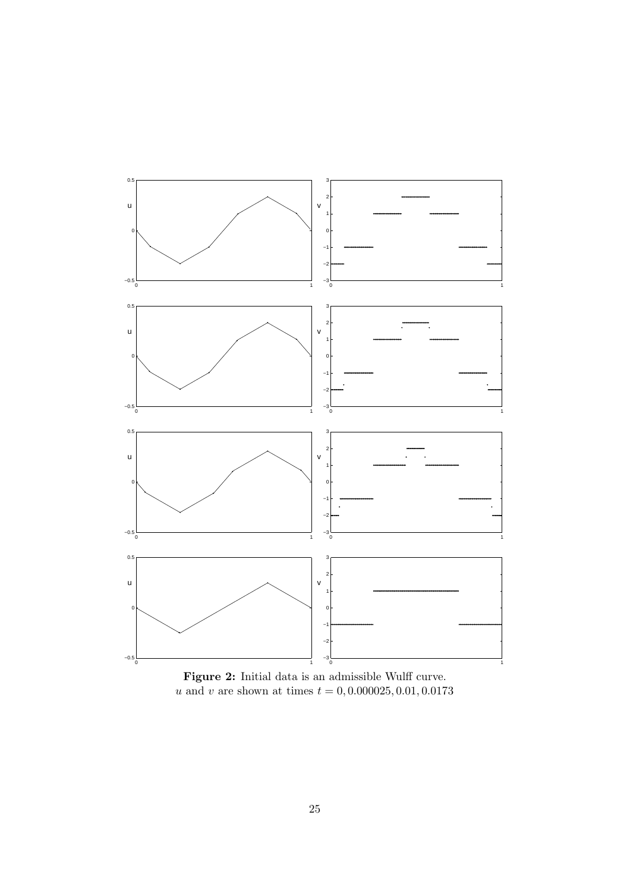

Figure 2: Initial data is an admissible Wulff curve. u and v are shown at times  $t = 0, 0.000025, 0.01, 0.0173$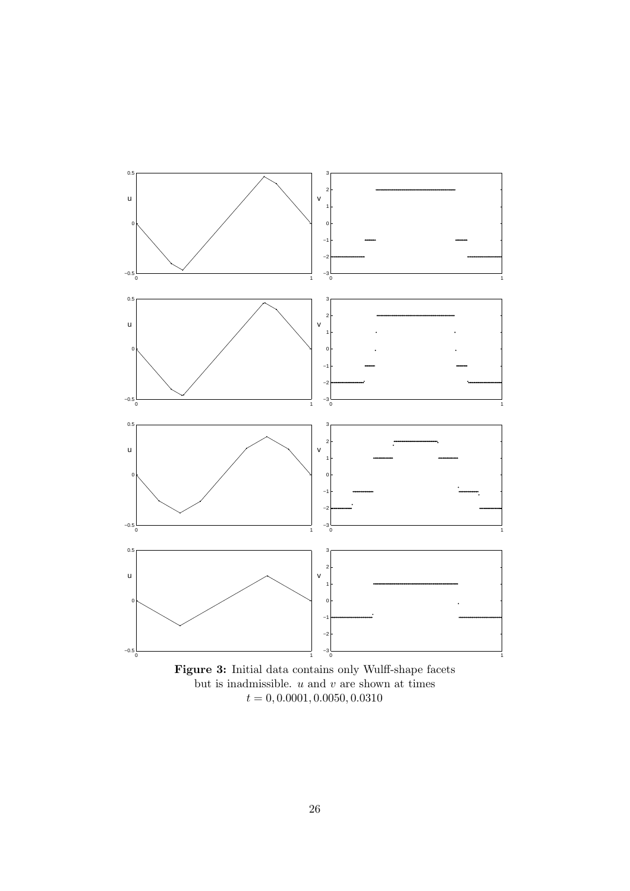

but is inadmissible.  $\boldsymbol{u}$  and  $\boldsymbol{v}$  are shown at times  $t = 0, 0.0001, 0.0050, 0.0310$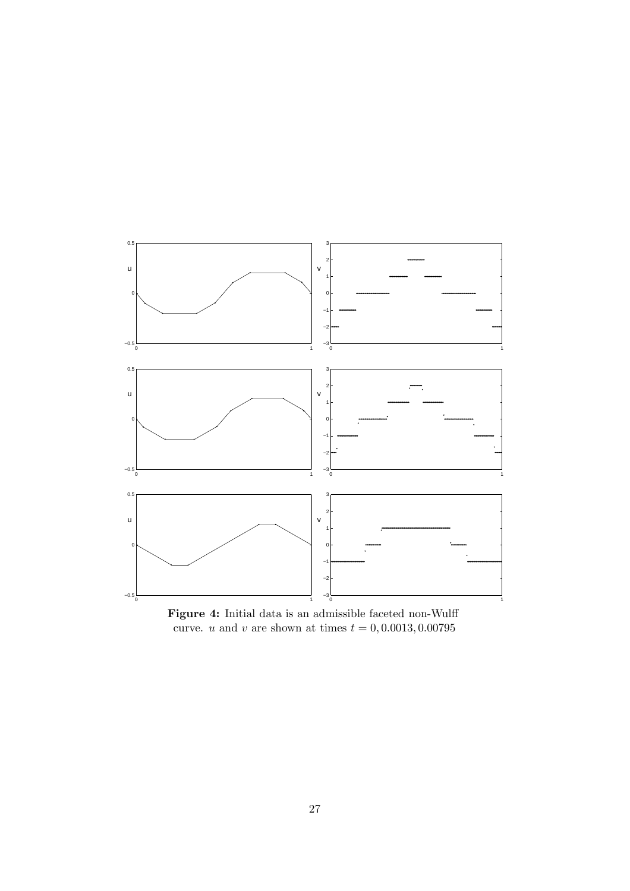

Figure 4: Initial data is an admissible faceted non-Wulff curve. u and v are shown at times  $t = 0, 0.0013, 0.00795$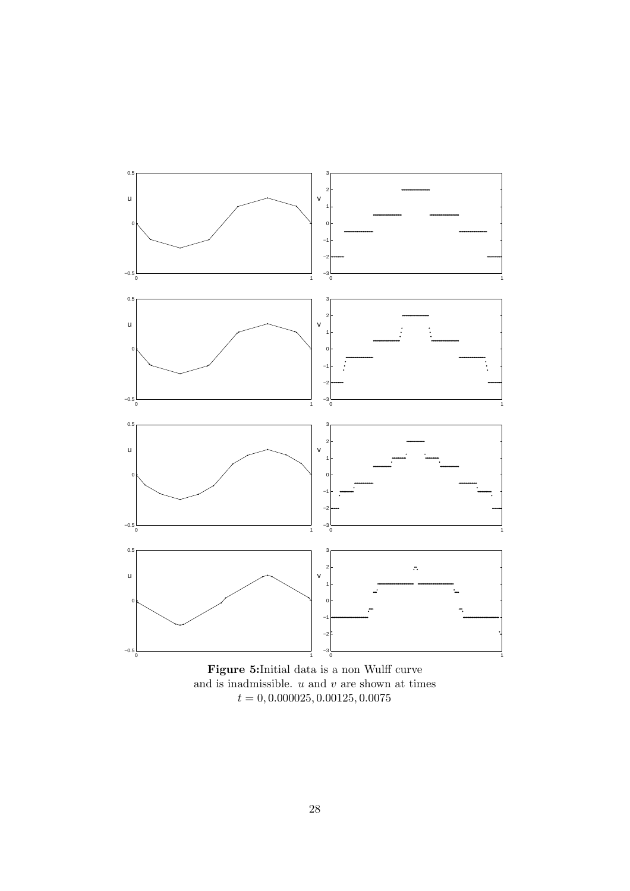

Figure 5:Initial data is a non Wulff curve and is inadmissible.  $\boldsymbol{u}$  and  $\boldsymbol{v}$  are shown at times  $t=0, 0.000025, 0.00125, 0.0075$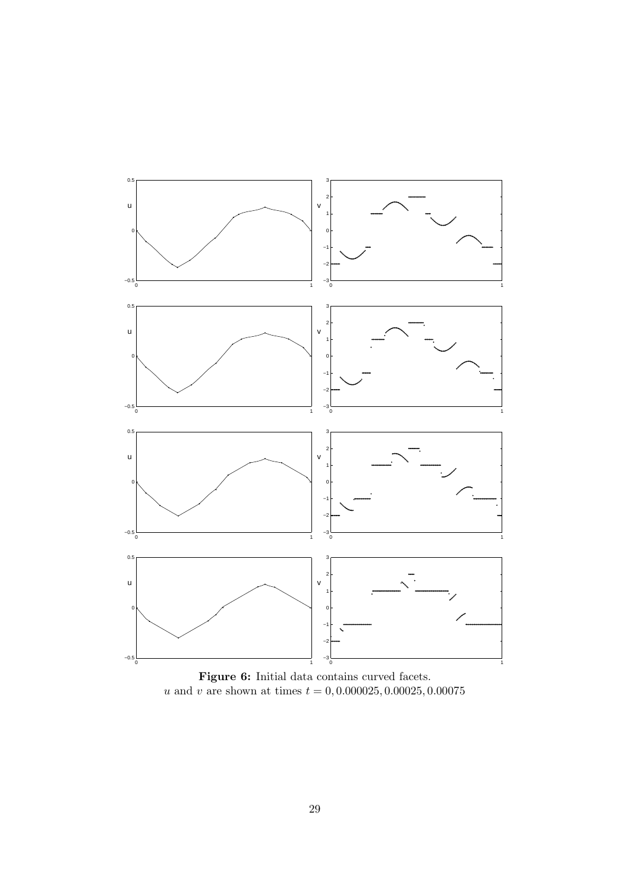

Figure 6: Initial data contains curved facets. u and v are shown at times  $t = 0, 0.000025, 0.00025, 0.00075$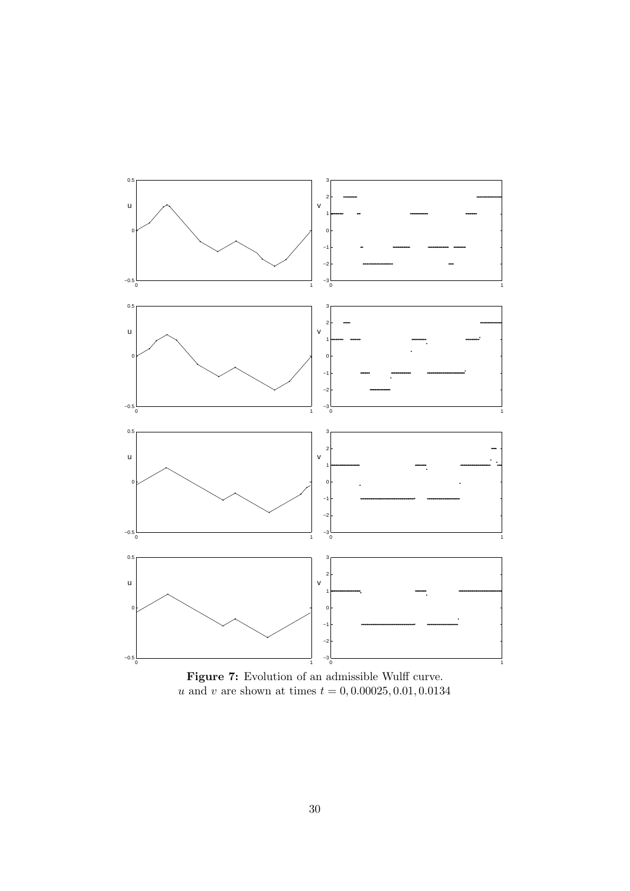

Figure 7: Evolution of an admissible Wulff curve. u and v are shown at times  $t = 0, 0.00025, 0.01, 0.0134$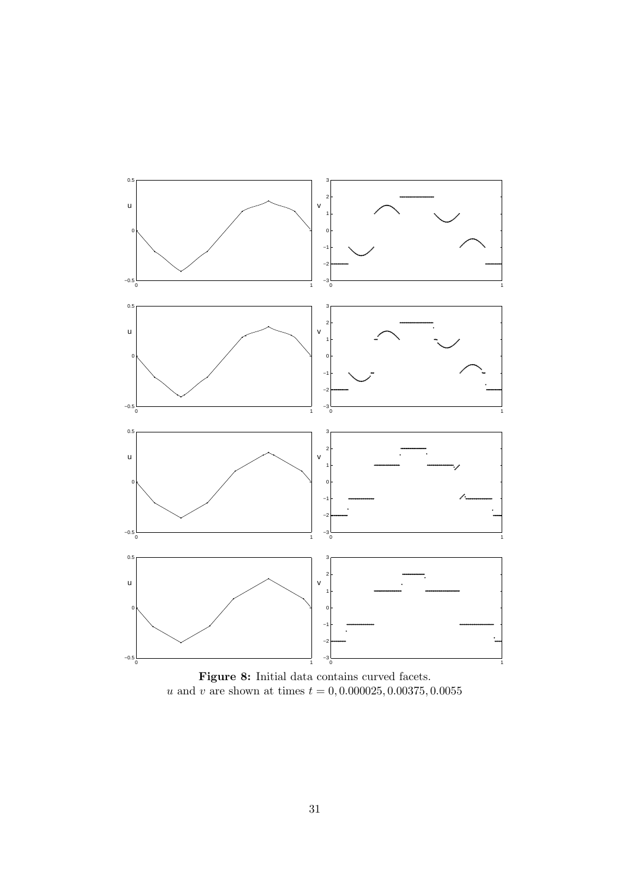

Figure 8: Initial data contains curved facets. u and v are shown at times  $t = 0, 0.000025, 0.00375, 0.0055$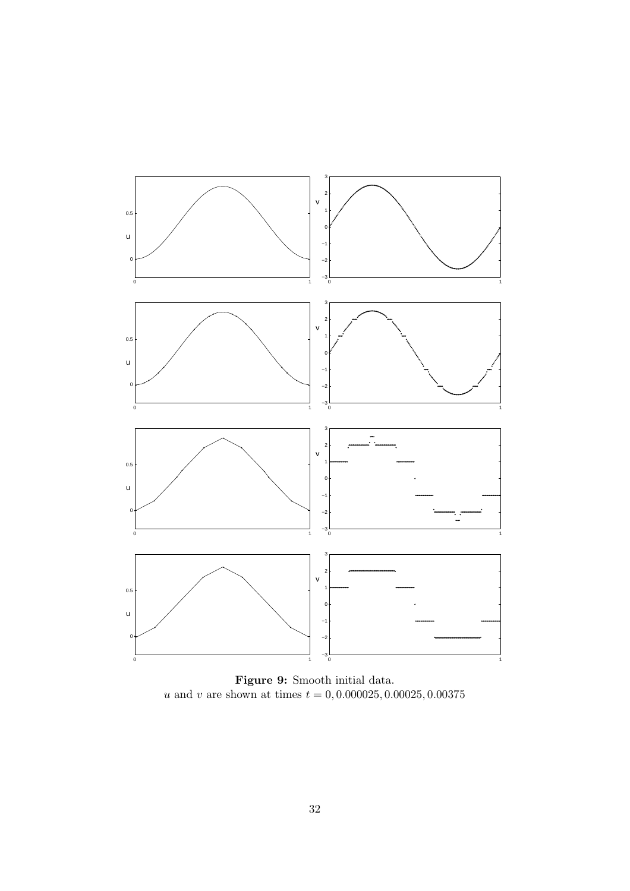

Figure 9: Smooth initial data. u and v are shown at times  $t = 0, 0.000025, 0.00025, 0.00375$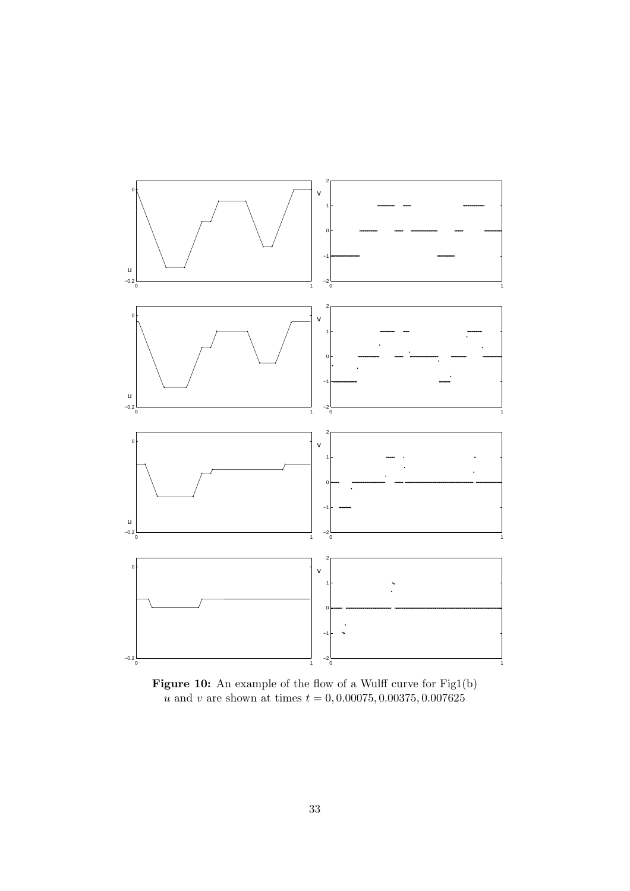

Figure 10: An example of the flow of a Wulff curve for Fig1(b) u and v are shown at times  $t = 0, 0.00075, 0.00375, 0.007625$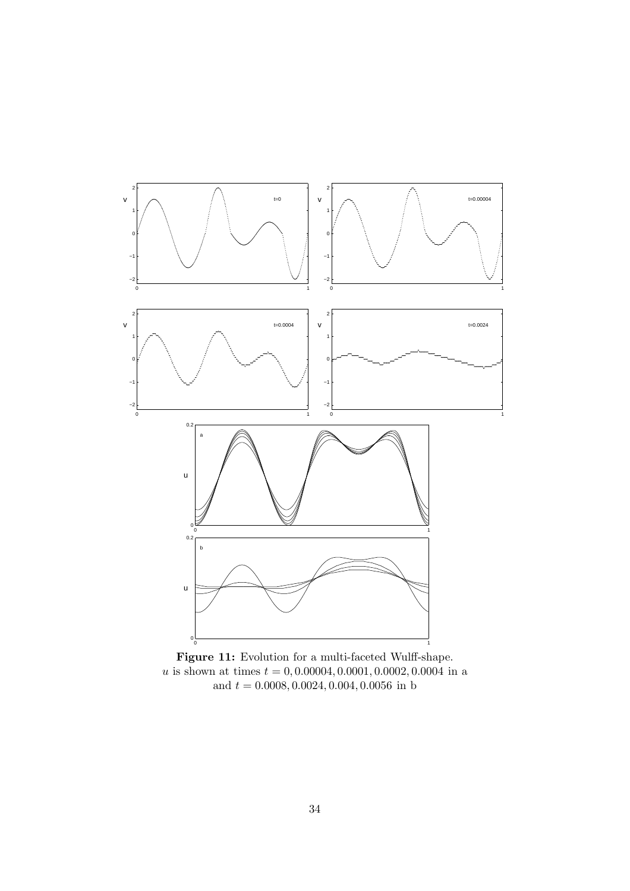

Figure 11: Evolution for a multi-faceted Wulff-shape.  $u$  is shown at times  $t=0, 0.00004, 0.0001, 0.0002, 0.0004$  in a and  $t = 0.0008, 0.0024, 0.004, 0.0056$  in b